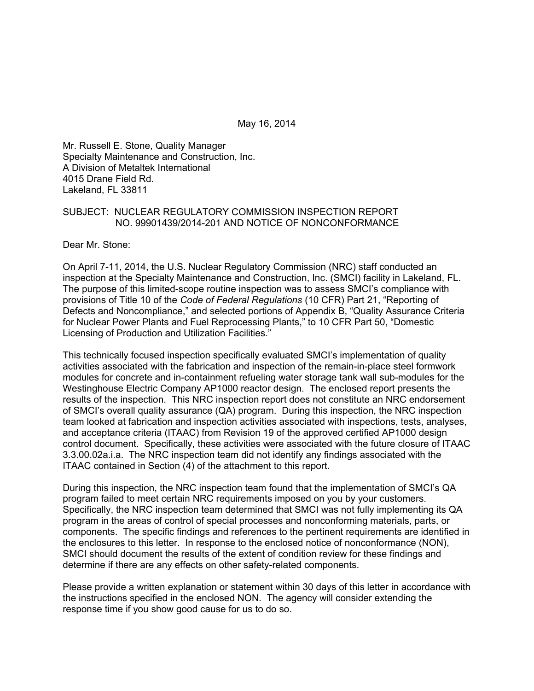May 16, 2014

Mr. Russell E. Stone, Quality Manager Specialty Maintenance and Construction, Inc. A Division of Metaltek International 4015 Drane Field Rd. Lakeland, FL 33811

#### SUBJECT: NUCLEAR REGULATORY COMMISSION INSPECTION REPORT NO. 99901439/2014-201 AND NOTICE OF NONCONFORMANCE

Dear Mr. Stone:

On April 7-11, 2014, the U.S. Nuclear Regulatory Commission (NRC) staff conducted an inspection at the Specialty Maintenance and Construction, Inc. (SMCI) facility in Lakeland, FL. The purpose of this limited-scope routine inspection was to assess SMCI's compliance with provisions of Title 10 of the *Code of Federal Regulations* (10 CFR) Part 21, "Reporting of Defects and Noncompliance," and selected portions of Appendix B, "Quality Assurance Criteria for Nuclear Power Plants and Fuel Reprocessing Plants," to 10 CFR Part 50, "Domestic Licensing of Production and Utilization Facilities."

This technically focused inspection specifically evaluated SMCI's implementation of quality activities associated with the fabrication and inspection of the remain-in-place steel formwork modules for concrete and in-containment refueling water storage tank wall sub-modules for the Westinghouse Electric Company AP1000 reactor design. The enclosed report presents the results of the inspection. This NRC inspection report does not constitute an NRC endorsement of SMCI's overall quality assurance (QA) program. During this inspection, the NRC inspection team looked at fabrication and inspection activities associated with inspections, tests, analyses, and acceptance criteria (ITAAC) from Revision 19 of the approved certified AP1000 design control document. Specifically, these activities were associated with the future closure of ITAAC 3.3.00.02a.i.a. The NRC inspection team did not identify any findings associated with the ITAAC contained in Section (4) of the attachment to this report.

During this inspection, the NRC inspection team found that the implementation of SMCI's QA program failed to meet certain NRC requirements imposed on you by your customers. Specifically, the NRC inspection team determined that SMCI was not fully implementing its QA program in the areas of control of special processes and nonconforming materials, parts, or components. The specific findings and references to the pertinent requirements are identified in the enclosures to this letter. In response to the enclosed notice of nonconformance (NON), SMCI should document the results of the extent of condition review for these findings and determine if there are any effects on other safety-related components.

Please provide a written explanation or statement within 30 days of this letter in accordance with the instructions specified in the enclosed NON. The agency will consider extending the response time if you show good cause for us to do so.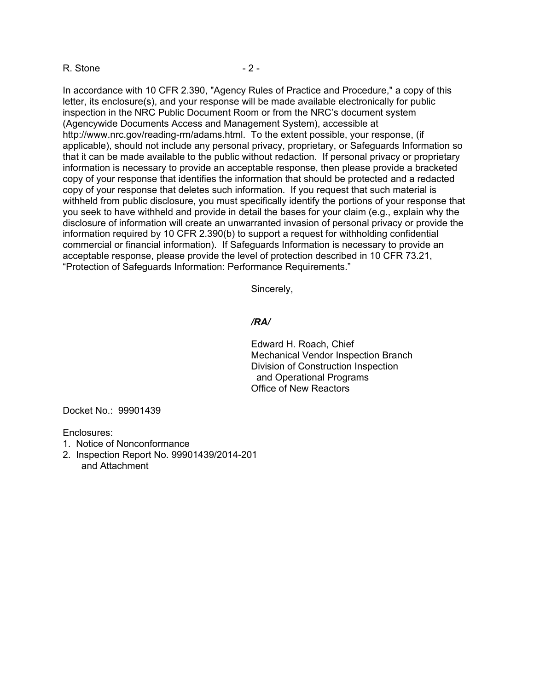#### R. Stone  $-2 -$

In accordance with 10 CFR 2.390, "Agency Rules of Practice and Procedure," a copy of this letter, its enclosure(s), and your response will be made available electronically for public inspection in the NRC Public Document Room or from the NRC's document system (Agencywide Documents Access and Management System), accessible at http://www.nrc.gov/reading-rm/adams.html. To the extent possible, your response, (if applicable), should not include any personal privacy, proprietary, or Safeguards Information so that it can be made available to the public without redaction. If personal privacy or proprietary information is necessary to provide an acceptable response, then please provide a bracketed copy of your response that identifies the information that should be protected and a redacted copy of your response that deletes such information. If you request that such material is withheld from public disclosure, you must specifically identify the portions of your response that you seek to have withheld and provide in detail the bases for your claim (e.g., explain why the disclosure of information will create an unwarranted invasion of personal privacy or provide the information required by 10 CFR 2.390(b) to support a request for withholding confidential commercial or financial information). If Safeguards Information is necessary to provide an acceptable response, please provide the level of protection described in 10 CFR 73.21, "Protection of Safeguards Information: Performance Requirements."

Sincerely,

#### */RA/*

Edward H. Roach, Chief Mechanical Vendor Inspection Branch Division of Construction Inspection and Operational Programs Office of New Reactors

Docket No.: 99901439

Enclosures:

- 1. Notice of Nonconformance
- 2. Inspection Report No. 99901439/2014-201
	- and Attachment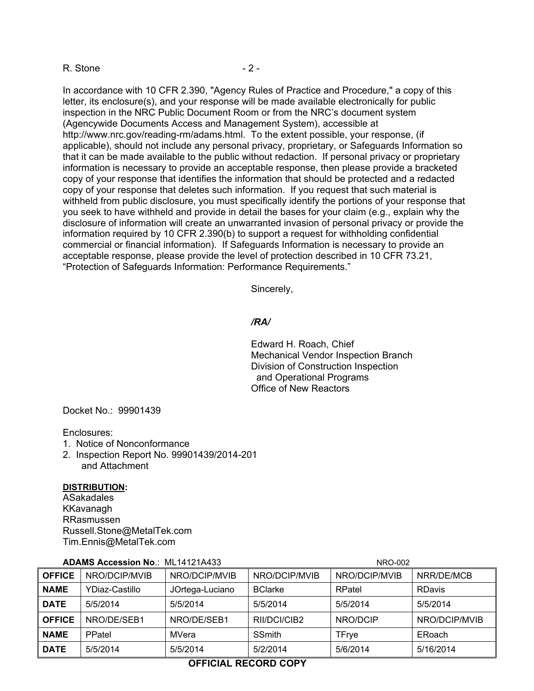#### R. Stone  $-2 -$

In accordance with 10 CFR 2.390, "Agency Rules of Practice and Procedure," a copy of this letter, its enclosure(s), and your response will be made available electronically for public inspection in the NRC Public Document Room or from the NRC's document system (Agencywide Documents Access and Management System), accessible at http://www.nrc.gov/reading-rm/adams.html. To the extent possible, your response, (if applicable), should not include any personal privacy, proprietary, or Safeguards Information so that it can be made available to the public without redaction. If personal privacy or proprietary information is necessary to provide an acceptable response, then please provide a bracketed copy of your response that identifies the information that should be protected and a redacted copy of your response that deletes such information. If you request that such material is withheld from public disclosure, you must specifically identify the portions of your response that you seek to have withheld and provide in detail the bases for your claim (e.g., explain why the disclosure of information will create an unwarranted invasion of personal privacy or provide the information required by 10 CFR 2.390(b) to support a request for withholding confidential commercial or financial information). If Safeguards Information is necessary to provide an acceptable response, please provide the level of protection described in 10 CFR 73.21, "Protection of Safeguards Information: Performance Requirements."

Sincerely,

#### */RA/*

Edward H. Roach, Chief Mechanical Vendor Inspection Branch Division of Construction Inspection and Operational Programs Office of New Reactors

Docket No.: 99901439

Enclosures:

- 1. Notice of Nonconformance
- 2. Inspection Report No. 99901439/2014-201 and Attachment

#### **DISTRIBUTION:**

ASakadales KKavanagh RRasmussen Russell.Stone@MetalTek.com Tim.Ennis@MetalTek.com

| <b>ADAMS Accession No.: ML14121A433</b> |                |                 | NRO-002        |               |               |
|-----------------------------------------|----------------|-----------------|----------------|---------------|---------------|
| <b>OFFICE</b>                           | NRO/DCIP/MVIB  | NRO/DCIP/MVIB   | NRO/DCIP/MVIB  | NRO/DCIP/MVIB | NRR/DE/MCB    |
| <b>NAME</b>                             | YDiaz-Castillo | JOrtega-Luciano | <b>BClarke</b> | RPatel        | RDavis        |
| <b>DATE</b>                             | 5/5/2014       | 5/5/2014        | 5/5/2014       | 5/5/2014      | 5/5/2014      |
| <b>OFFICE</b>                           | NRO/DE/SEB1    | NRO/DE/SEB1     | RII/DCI/CIB2   | NRO/DCIP      | NRO/DCIP/MVIB |
| <b>NAME</b>                             | PPatel         | MVera           | <b>SSmith</b>  | TFrye         | ERoach        |
| <b>DATE</b>                             | 5/5/2014       | 5/5/2014        | 5/2/2014       | 5/6/2014      | 5/16/2014     |

# **ADAMS Accession No**.: ML14121A433 NRO-002

# **OFFICIAL RECORD COPY**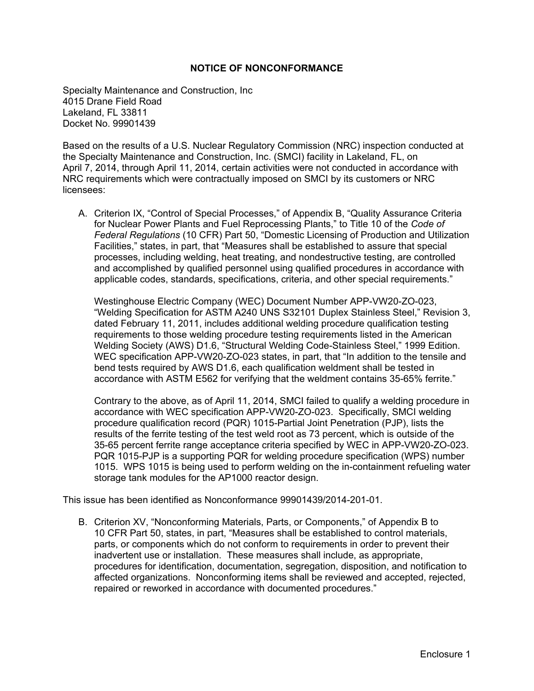#### **NOTICE OF NONCONFORMANCE**

Specialty Maintenance and Construction, Inc 4015 Drane Field Road Lakeland, FL 33811 Docket No. 99901439

Based on the results of a U.S. Nuclear Regulatory Commission (NRC) inspection conducted at the Specialty Maintenance and Construction, Inc. (SMCI) facility in Lakeland, FL, on April 7, 2014, through April 11, 2014, certain activities were not conducted in accordance with NRC requirements which were contractually imposed on SMCI by its customers or NRC licensees:

A. Criterion IX, "Control of Special Processes," of Appendix B, "Quality Assurance Criteria for Nuclear Power Plants and Fuel Reprocessing Plants," to Title 10 of the *Code of Federal Regulations* (10 CFR) Part 50, "Domestic Licensing of Production and Utilization Facilities," states, in part, that "Measures shall be established to assure that special processes, including welding, heat treating, and nondestructive testing, are controlled and accomplished by qualified personnel using qualified procedures in accordance with applicable codes, standards, specifications, criteria, and other special requirements."

Westinghouse Electric Company (WEC) Document Number APP-VW20-ZO-023, "Welding Specification for ASTM A240 UNS S32101 Duplex Stainless Steel," Revision 3, dated February 11, 2011, includes additional welding procedure qualification testing requirements to those welding procedure testing requirements listed in the American Welding Society (AWS) D1.6, "Structural Welding Code-Stainless Steel," 1999 Edition. WEC specification APP-VW20-ZO-023 states, in part, that "In addition to the tensile and bend tests required by AWS D1.6, each qualification weldment shall be tested in accordance with ASTM E562 for verifying that the weldment contains 35-65% ferrite."

Contrary to the above, as of April 11, 2014, SMCI failed to qualify a welding procedure in accordance with WEC specification APP-VW20-ZO-023. Specifically, SMCI welding procedure qualification record (PQR) 1015-Partial Joint Penetration (PJP), lists the results of the ferrite testing of the test weld root as 73 percent, which is outside of the 35-65 percent ferrite range acceptance criteria specified by WEC in APP-VW20-ZO-023. PQR 1015-PJP is a supporting PQR for welding procedure specification (WPS) number 1015. WPS 1015 is being used to perform welding on the in-containment refueling water storage tank modules for the AP1000 reactor design.

This issue has been identified as Nonconformance 99901439/2014-201-01.

B. Criterion XV, "Nonconforming Materials, Parts, or Components," of Appendix B to 10 CFR Part 50, states, in part, "Measures shall be established to control materials, parts, or components which do not conform to requirements in order to prevent their inadvertent use or installation. These measures shall include, as appropriate, procedures for identification, documentation, segregation, disposition, and notification to affected organizations. Nonconforming items shall be reviewed and accepted, rejected, repaired or reworked in accordance with documented procedures."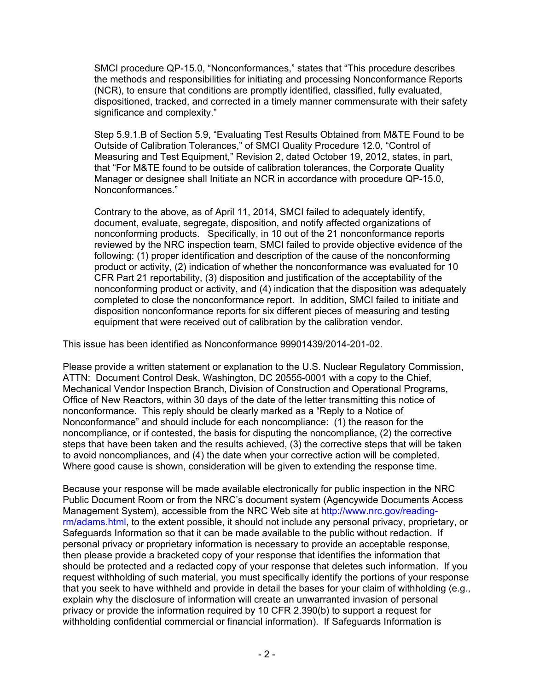SMCI procedure QP-15.0, "Nonconformances," states that "This procedure describes the methods and responsibilities for initiating and processing Nonconformance Reports (NCR), to ensure that conditions are promptly identified, classified, fully evaluated, dispositioned, tracked, and corrected in a timely manner commensurate with their safety significance and complexity."

Step 5.9.1.B of Section 5.9, "Evaluating Test Results Obtained from M&TE Found to be Outside of Calibration Tolerances," of SMCI Quality Procedure 12.0, "Control of Measuring and Test Equipment," Revision 2, dated October 19, 2012, states, in part, that "For M&TE found to be outside of calibration tolerances, the Corporate Quality Manager or designee shall Initiate an NCR in accordance with procedure QP-15.0, Nonconformances."

Contrary to the above, as of April 11, 2014, SMCI failed to adequately identify, document, evaluate, segregate, disposition, and notify affected organizations of nonconforming products. Specifically, in 10 out of the 21 nonconformance reports reviewed by the NRC inspection team, SMCI failed to provide objective evidence of the following: (1) proper identification and description of the cause of the nonconforming product or activity, (2) indication of whether the nonconformance was evaluated for 10 CFR Part 21 reportability, (3) disposition and justification of the acceptability of the nonconforming product or activity, and (4) indication that the disposition was adequately completed to close the nonconformance report. In addition, SMCI failed to initiate and disposition nonconformance reports for six different pieces of measuring and testing equipment that were received out of calibration by the calibration vendor.

This issue has been identified as Nonconformance 99901439/2014-201-02.

Please provide a written statement or explanation to the U.S. Nuclear Regulatory Commission, ATTN: Document Control Desk, Washington, DC 20555-0001 with a copy to the Chief, Mechanical Vendor Inspection Branch, Division of Construction and Operational Programs, Office of New Reactors, within 30 days of the date of the letter transmitting this notice of nonconformance. This reply should be clearly marked as a "Reply to a Notice of Nonconformance" and should include for each noncompliance: (1) the reason for the noncompliance, or if contested, the basis for disputing the noncompliance, (2) the corrective steps that have been taken and the results achieved, (3) the corrective steps that will be taken to avoid noncompliances, and (4) the date when your corrective action will be completed. Where good cause is shown, consideration will be given to extending the response time.

Because your response will be made available electronically for public inspection in the NRC Public Document Room or from the NRC's document system (Agencywide Documents Access Management System), accessible from the NRC Web site at http://www.nrc.gov/readingrm/adams.html, to the extent possible, it should not include any personal privacy, proprietary, or Safeguards Information so that it can be made available to the public without redaction. If personal privacy or proprietary information is necessary to provide an acceptable response, then please provide a bracketed copy of your response that identifies the information that should be protected and a redacted copy of your response that deletes such information. If you request withholding of such material, you must specifically identify the portions of your response that you seek to have withheld and provide in detail the bases for your claim of withholding (e.g., explain why the disclosure of information will create an unwarranted invasion of personal privacy or provide the information required by 10 CFR 2.390(b) to support a request for withholding confidential commercial or financial information). If Safeguards Information is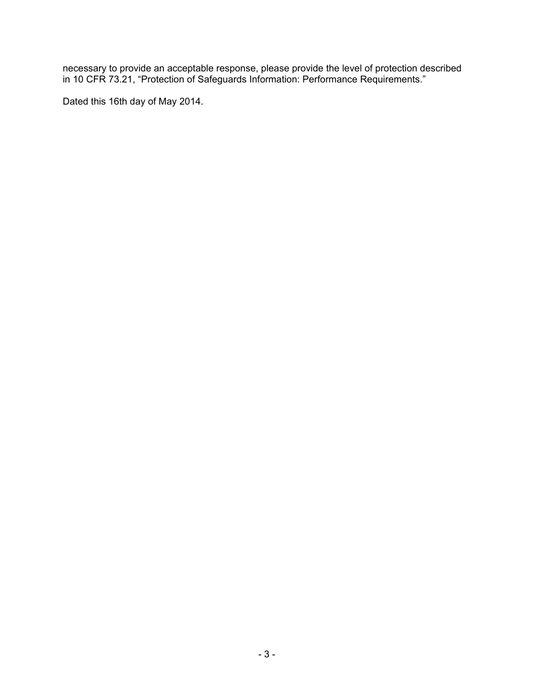necessary to provide an acceptable response, please provide the level of protection described in 10 CFR 73.21, "Protection of Safeguards Information: Performance Requirements."

Dated this 16th day of May 2014.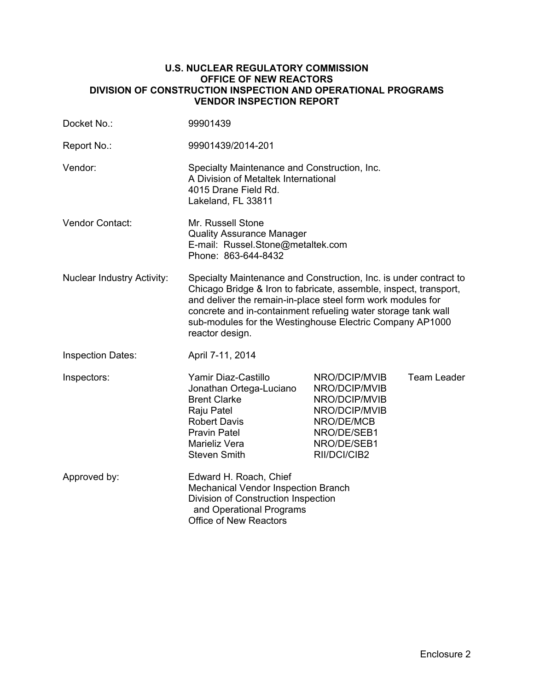#### **U.S. NUCLEAR REGULATORY COMMISSION OFFICE OF NEW REACTORS DIVISION OF CONSTRUCTION INSPECTION AND OPERATIONAL PROGRAMS VENDOR INSPECTION REPORT**

| Docket No.:                       | 99901439                                                                                                                                                                                                                                                                                                                                              |                                                                                                                              |                    |  |
|-----------------------------------|-------------------------------------------------------------------------------------------------------------------------------------------------------------------------------------------------------------------------------------------------------------------------------------------------------------------------------------------------------|------------------------------------------------------------------------------------------------------------------------------|--------------------|--|
| Report No.:                       | 99901439/2014-201                                                                                                                                                                                                                                                                                                                                     |                                                                                                                              |                    |  |
| Vendor:                           | Specialty Maintenance and Construction, Inc.<br>A Division of Metaltek International<br>4015 Drane Field Rd.<br>Lakeland, FL 33811                                                                                                                                                                                                                    |                                                                                                                              |                    |  |
| Vendor Contact:                   | Mr. Russell Stone<br><b>Quality Assurance Manager</b><br>E-mail: Russel.Stone@metaltek.com<br>Phone: 863-644-8432                                                                                                                                                                                                                                     |                                                                                                                              |                    |  |
| <b>Nuclear Industry Activity:</b> | Specialty Maintenance and Construction, Inc. is under contract to<br>Chicago Bridge & Iron to fabricate, assemble, inspect, transport,<br>and deliver the remain-in-place steel form work modules for<br>concrete and in-containment refueling water storage tank wall<br>sub-modules for the Westinghouse Electric Company AP1000<br>reactor design. |                                                                                                                              |                    |  |
| <b>Inspection Dates:</b>          | April 7-11, 2014                                                                                                                                                                                                                                                                                                                                      |                                                                                                                              |                    |  |
| Inspectors:                       | Yamir Diaz-Castillo<br>Jonathan Ortega-Luciano<br><b>Brent Clarke</b><br>Raju Patel<br><b>Robert Davis</b><br><b>Pravin Patel</b><br>Marieliz Vera<br>Steven Smith                                                                                                                                                                                    | NRO/DCIP/MVIB<br>NRO/DCIP/MVIB<br>NRO/DCIP/MVIB<br>NRO/DCIP/MVIB<br>NRO/DE/MCB<br>NRO/DE/SEB1<br>NRO/DE/SEB1<br>RII/DCI/CIB2 | <b>Team Leader</b> |  |
| Approved by:                      | Edward H. Roach, Chief<br>Mechanical Vendor Inspection Branch<br>Division of Construction Inspection<br>and Operational Programs<br><b>Office of New Reactors</b>                                                                                                                                                                                     |                                                                                                                              |                    |  |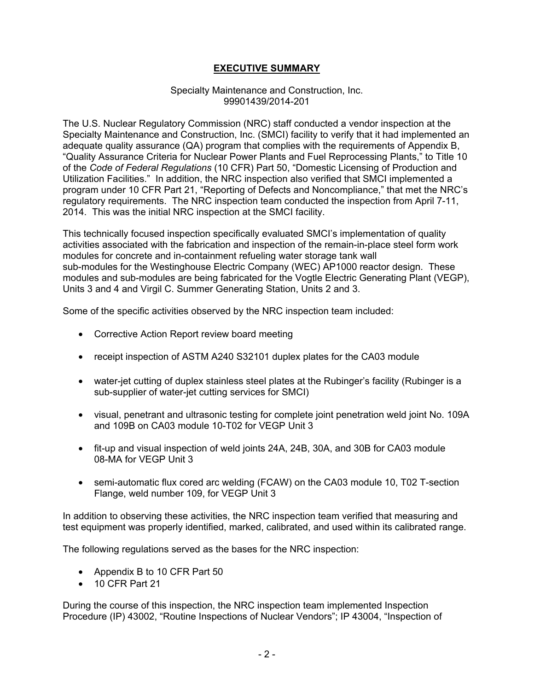# **EXECUTIVE SUMMARY**

#### Specialty Maintenance and Construction, Inc. 99901439/2014-201

The U.S. Nuclear Regulatory Commission (NRC) staff conducted a vendor inspection at the Specialty Maintenance and Construction, Inc. (SMCI) facility to verify that it had implemented an adequate quality assurance (QA) program that complies with the requirements of Appendix B, "Quality Assurance Criteria for Nuclear Power Plants and Fuel Reprocessing Plants," to Title 10 of the *Code of Federal Regulations* (10 CFR) Part 50, "Domestic Licensing of Production and Utilization Facilities." In addition, the NRC inspection also verified that SMCI implemented a program under 10 CFR Part 21, "Reporting of Defects and Noncompliance," that met the NRC's regulatory requirements. The NRC inspection team conducted the inspection from April 7-11, 2014. This was the initial NRC inspection at the SMCI facility.

This technically focused inspection specifically evaluated SMCI's implementation of quality activities associated with the fabrication and inspection of the remain-in-place steel form work modules for concrete and in-containment refueling water storage tank wall sub-modules for the Westinghouse Electric Company (WEC) AP1000 reactor design. These modules and sub-modules are being fabricated for the Vogtle Electric Generating Plant (VEGP), Units 3 and 4 and Virgil C. Summer Generating Station, Units 2 and 3.

Some of the specific activities observed by the NRC inspection team included:

- Corrective Action Report review board meeting
- receipt inspection of ASTM A240 S32101 duplex plates for the CA03 module
- water-jet cutting of duplex stainless steel plates at the Rubinger's facility (Rubinger is a sub-supplier of water-jet cutting services for SMCI)
- visual, penetrant and ultrasonic testing for complete joint penetration weld joint No. 109A and 109B on CA03 module 10-T02 for VEGP Unit 3
- fit-up and visual inspection of weld joints 24A, 24B, 30A, and 30B for CA03 module 08-MA for VEGP Unit 3
- semi-automatic flux cored arc welding (FCAW) on the CA03 module 10, T02 T-section Flange, weld number 109, for VEGP Unit 3

In addition to observing these activities, the NRC inspection team verified that measuring and test equipment was properly identified, marked, calibrated, and used within its calibrated range.

The following regulations served as the bases for the NRC inspection:

- Appendix B to 10 CFR Part 50
- 10 CFR Part 21

During the course of this inspection, the NRC inspection team implemented Inspection Procedure (IP) 43002, "Routine Inspections of Nuclear Vendors"; IP 43004, "Inspection of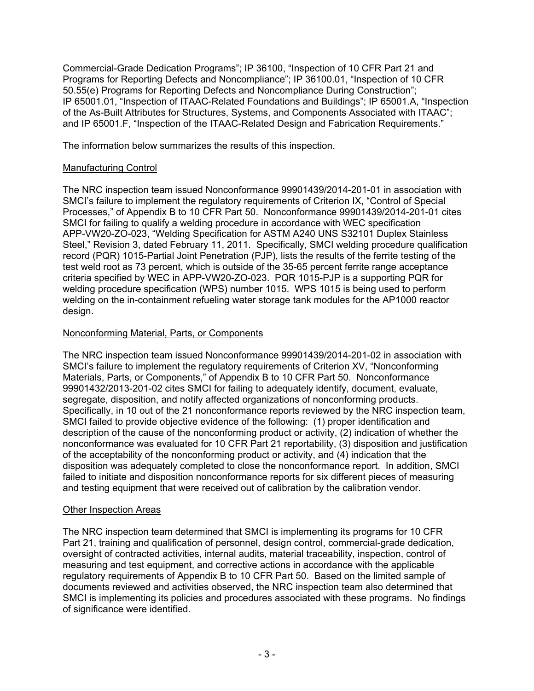Commercial-Grade Dedication Programs"; IP 36100, "Inspection of 10 CFR Part 21 and Programs for Reporting Defects and Noncompliance"; IP 36100.01, "Inspection of 10 CFR 50.55(e) Programs for Reporting Defects and Noncompliance During Construction"; IP 65001.01, "Inspection of ITAAC-Related Foundations and Buildings"; IP 65001.A, "Inspection of the As-Built Attributes for Structures, Systems, and Components Associated with ITAAC"; and IP 65001.F, "Inspection of the ITAAC-Related Design and Fabrication Requirements."

The information below summarizes the results of this inspection.

# Manufacturing Control

The NRC inspection team issued Nonconformance 99901439/2014-201-01 in association with SMCI's failure to implement the regulatory requirements of Criterion IX, "Control of Special Processes," of Appendix B to 10 CFR Part 50. Nonconformance 99901439/2014-201-01 cites SMCI for failing to qualify a welding procedure in accordance with WEC specification APP-VW20-ZO-023, "Welding Specification for ASTM A240 UNS S32101 Duplex Stainless Steel," Revision 3, dated February 11, 2011. Specifically, SMCI welding procedure qualification record (PQR) 1015-Partial Joint Penetration (PJP), lists the results of the ferrite testing of the test weld root as 73 percent, which is outside of the 35-65 percent ferrite range acceptance criteria specified by WEC in APP-VW20-ZO-023. PQR 1015-PJP is a supporting PQR for welding procedure specification (WPS) number 1015. WPS 1015 is being used to perform welding on the in-containment refueling water storage tank modules for the AP1000 reactor design.

# Nonconforming Material, Parts, or Components

The NRC inspection team issued Nonconformance 99901439/2014-201-02 in association with SMCI's failure to implement the regulatory requirements of Criterion XV, "Nonconforming Materials, Parts, or Components," of Appendix B to 10 CFR Part 50. Nonconformance 99901432/2013-201-02 cites SMCI for failing to adequately identify, document, evaluate, segregate, disposition, and notify affected organizations of nonconforming products. Specifically, in 10 out of the 21 nonconformance reports reviewed by the NRC inspection team, SMCI failed to provide objective evidence of the following: (1) proper identification and description of the cause of the nonconforming product or activity, (2) indication of whether the nonconformance was evaluated for 10 CFR Part 21 reportability, (3) disposition and justification of the acceptability of the nonconforming product or activity, and (4) indication that the disposition was adequately completed to close the nonconformance report. In addition, SMCI failed to initiate and disposition nonconformance reports for six different pieces of measuring and testing equipment that were received out of calibration by the calibration vendor.

# Other Inspection Areas

The NRC inspection team determined that SMCI is implementing its programs for 10 CFR Part 21, training and qualification of personnel, design control, commercial-grade dedication, oversight of contracted activities, internal audits, material traceability, inspection, control of measuring and test equipment, and corrective actions in accordance with the applicable regulatory requirements of Appendix B to 10 CFR Part 50. Based on the limited sample of documents reviewed and activities observed, the NRC inspection team also determined that SMCI is implementing its policies and procedures associated with these programs. No findings of significance were identified.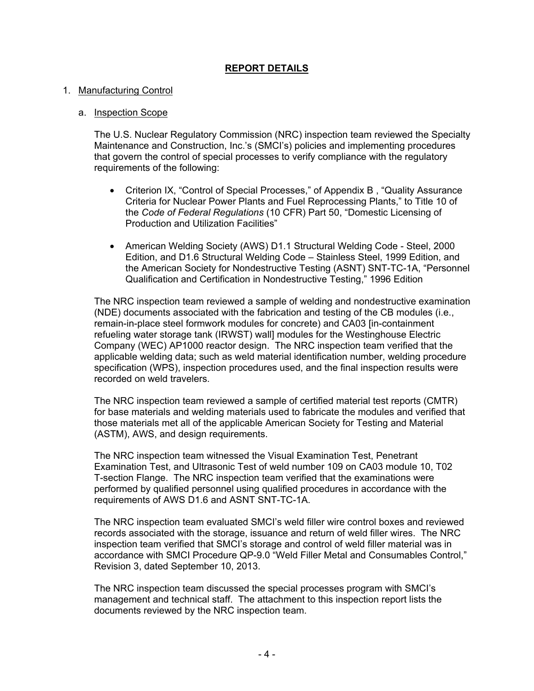# **REPORT DETAILS**

#### 1. Manufacturing Control

#### a. Inspection Scope

The U.S. Nuclear Regulatory Commission (NRC) inspection team reviewed the Specialty Maintenance and Construction, Inc.'s (SMCI's) policies and implementing procedures that govern the control of special processes to verify compliance with the regulatory requirements of the following:

- Criterion IX, "Control of Special Processes," of Appendix B , "Quality Assurance Criteria for Nuclear Power Plants and Fuel Reprocessing Plants," to Title 10 of the *Code of Federal Regulations* (10 CFR) Part 50, "Domestic Licensing of Production and Utilization Facilities"
- American Welding Society (AWS) D1.1 Structural Welding Code Steel, 2000 Edition, and D1.6 Structural Welding Code – Stainless Steel, 1999 Edition, and the American Society for Nondestructive Testing (ASNT) SNT-TC-1A, "Personnel Qualification and Certification in Nondestructive Testing," 1996 Edition

The NRC inspection team reviewed a sample of welding and nondestructive examination (NDE) documents associated with the fabrication and testing of the CB modules (i.e., remain-in-place steel formwork modules for concrete) and CA03 [in-containment refueling water storage tank (IRWST) wall] modules for the Westinghouse Electric Company (WEC) AP1000 reactor design. The NRC inspection team verified that the applicable welding data; such as weld material identification number, welding procedure specification (WPS), inspection procedures used, and the final inspection results were recorded on weld travelers.

The NRC inspection team reviewed a sample of certified material test reports (CMTR) for base materials and welding materials used to fabricate the modules and verified that those materials met all of the applicable American Society for Testing and Material (ASTM), AWS, and design requirements.

The NRC inspection team witnessed the Visual Examination Test, Penetrant Examination Test, and Ultrasonic Test of weld number 109 on CA03 module 10, T02 T-section Flange. The NRC inspection team verified that the examinations were performed by qualified personnel using qualified procedures in accordance with the requirements of AWS D1.6 and ASNT SNT-TC-1A.

The NRC inspection team evaluated SMCI's weld filler wire control boxes and reviewed records associated with the storage, issuance and return of weld filler wires. The NRC inspection team verified that SMCI's storage and control of weld filler material was in accordance with SMCI Procedure QP-9.0 "Weld Filler Metal and Consumables Control," Revision 3, dated September 10, 2013.

The NRC inspection team discussed the special processes program with SMCI's management and technical staff. The attachment to this inspection report lists the documents reviewed by the NRC inspection team.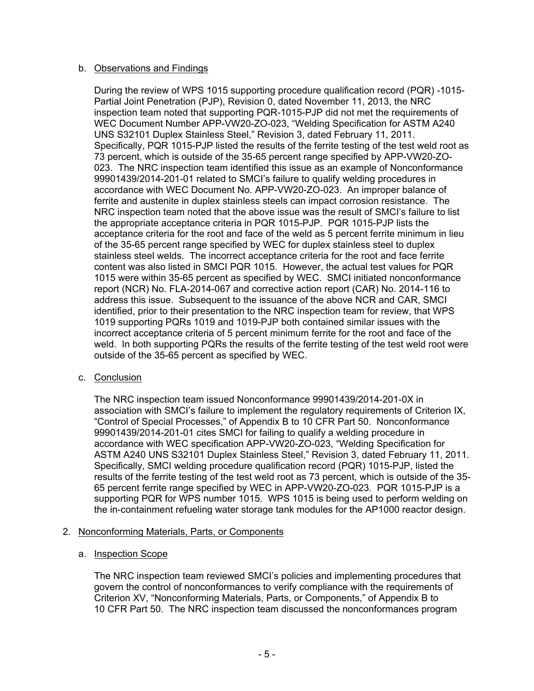# b. Observations and Findings

During the review of WPS 1015 supporting procedure qualification record (PQR) -1015- Partial Joint Penetration (PJP), Revision 0, dated November 11, 2013, the NRC inspection team noted that supporting PQR-1015-PJP did not met the requirements of WEC Document Number APP-VW20-ZO-023, "Welding Specification for ASTM A240 UNS S32101 Duplex Stainless Steel," Revision 3, dated February 11, 2011. Specifically, PQR 1015-PJP listed the results of the ferrite testing of the test weld root as 73 percent, which is outside of the 35-65 percent range specified by APP-VW20-ZO-023. The NRC inspection team identified this issue as an example of Nonconformance 99901439/2014-201-01 related to SMCI's failure to qualify welding procedures in accordance with WEC Document No. APP-VW20-ZO-023. An improper balance of ferrite and austenite in duplex stainless steels can impact corrosion resistance. The NRC inspection team noted that the above issue was the result of SMCI's failure to list the appropriate acceptance criteria in PQR 1015-PJP. PQR 1015-PJP lists the acceptance criteria for the root and face of the weld as 5 percent ferrite minimum in lieu of the 35-65 percent range specified by WEC for duplex stainless steel to duplex stainless steel welds. The incorrect acceptance criteria for the root and face ferrite content was also listed in SMCI PQR 1015. However, the actual test values for PQR 1015 were within 35-65 percent as specified by WEC. SMCI initiated nonconformance report (NCR) No. FLA-2014-067 and corrective action report (CAR) No. 2014-116 to address this issue. Subsequent to the issuance of the above NCR and CAR, SMCI identified, prior to their presentation to the NRC inspection team for review, that WPS 1019 supporting PQRs 1019 and 1019-PJP both contained similar issues with the incorrect acceptance criteria of 5 percent minimum ferrite for the root and face of the weld. In both supporting PQRs the results of the ferrite testing of the test weld root were outside of the 35-65 percent as specified by WEC.

# c. Conclusion

The NRC inspection team issued Nonconformance 99901439/2014-201-0X in association with SMCI's failure to implement the regulatory requirements of Criterion IX, "Control of Special Processes," of Appendix B to 10 CFR Part 50. Nonconformance 99901439/2014-201-01 cites SMCI for failing to qualify a welding procedure in accordance with WEC specification APP-VW20-ZO-023, "Welding Specification for ASTM A240 UNS S32101 Duplex Stainless Steel," Revision 3, dated February 11, 2011. Specifically, SMCI welding procedure qualification record (PQR) 1015-PJP, listed the results of the ferrite testing of the test weld root as 73 percent, which is outside of the 35- 65 percent ferrite range specified by WEC in APP-VW20-ZO-023. PQR 1015-PJP is a supporting PQR for WPS number 1015. WPS 1015 is being used to perform welding on the in-containment refueling water storage tank modules for the AP1000 reactor design.

# 2. Nonconforming Materials, Parts, or Components

# a. Inspection Scope

The NRC inspection team reviewed SMCI's policies and implementing procedures that govern the control of nonconformances to verify compliance with the requirements of Criterion XV, "Nonconforming Materials, Parts, or Components," of Appendix B to 10 CFR Part 50. The NRC inspection team discussed the nonconformances program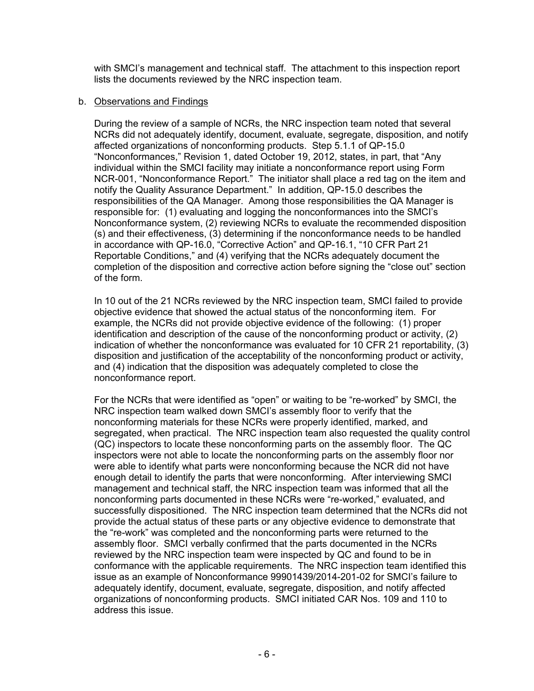with SMCI's management and technical staff. The attachment to this inspection report lists the documents reviewed by the NRC inspection team.

#### b. Observations and Findings

During the review of a sample of NCRs, the NRC inspection team noted that several NCRs did not adequately identify, document, evaluate, segregate, disposition, and notify affected organizations of nonconforming products. Step 5.1.1 of QP-15.0 "Nonconformances," Revision 1, dated October 19, 2012, states, in part, that "Any individual within the SMCI facility may initiate a nonconformance report using Form NCR-001, "Nonconformance Report." The initiator shall place a red tag on the item and notify the Quality Assurance Department." In addition, QP-15.0 describes the responsibilities of the QA Manager. Among those responsibilities the QA Manager is responsible for: (1) evaluating and logging the nonconformances into the SMCI's Nonconformance system, (2) reviewing NCRs to evaluate the recommended disposition (s) and their effectiveness, (3) determining if the nonconformance needs to be handled in accordance with QP-16.0, "Corrective Action" and QP-16.1, "10 CFR Part 21 Reportable Conditions," and (4) verifying that the NCRs adequately document the completion of the disposition and corrective action before signing the "close out" section of the form.

In 10 out of the 21 NCRs reviewed by the NRC inspection team, SMCI failed to provide objective evidence that showed the actual status of the nonconforming item. For example, the NCRs did not provide objective evidence of the following: (1) proper identification and description of the cause of the nonconforming product or activity, (2) indication of whether the nonconformance was evaluated for 10 CFR 21 reportability, (3) disposition and justification of the acceptability of the nonconforming product or activity, and (4) indication that the disposition was adequately completed to close the nonconformance report.

For the NCRs that were identified as "open" or waiting to be "re-worked" by SMCI, the NRC inspection team walked down SMCI's assembly floor to verify that the nonconforming materials for these NCRs were properly identified, marked, and segregated, when practical. The NRC inspection team also requested the quality control (QC) inspectors to locate these nonconforming parts on the assembly floor. The QC inspectors were not able to locate the nonconforming parts on the assembly floor nor were able to identify what parts were nonconforming because the NCR did not have enough detail to identify the parts that were nonconforming. After interviewing SMCI management and technical staff, the NRC inspection team was informed that all the nonconforming parts documented in these NCRs were "re-worked," evaluated, and successfully dispositioned. The NRC inspection team determined that the NCRs did not provide the actual status of these parts or any objective evidence to demonstrate that the "re-work" was completed and the nonconforming parts were returned to the assembly floor. SMCI verbally confirmed that the parts documented in the NCRs reviewed by the NRC inspection team were inspected by QC and found to be in conformance with the applicable requirements. The NRC inspection team identified this issue as an example of Nonconformance 99901439/2014-201-02 for SMCI's failure to adequately identify, document, evaluate, segregate, disposition, and notify affected organizations of nonconforming products. SMCI initiated CAR Nos. 109 and 110 to address this issue.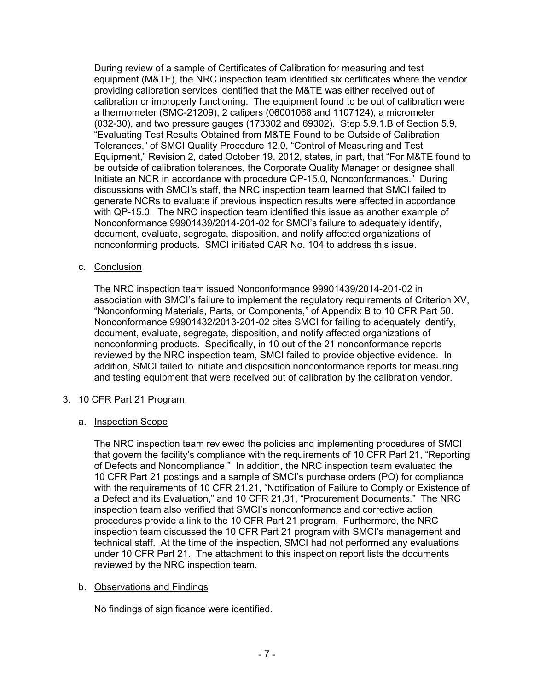During review of a sample of Certificates of Calibration for measuring and test equipment (M&TE), the NRC inspection team identified six certificates where the vendor providing calibration services identified that the M&TE was either received out of calibration or improperly functioning. The equipment found to be out of calibration were a thermometer (SMC-21209), 2 calipers (06001068 and 1107124), a micrometer (032-30), and two pressure gauges (173302 and 69302). Step 5.9.1.B of Section 5.9, "Evaluating Test Results Obtained from M&TE Found to be Outside of Calibration Tolerances," of SMCI Quality Procedure 12.0, "Control of Measuring and Test Equipment," Revision 2, dated October 19, 2012, states, in part, that "For M&TE found to be outside of calibration tolerances, the Corporate Quality Manager or designee shall Initiate an NCR in accordance with procedure QP-15.0, Nonconformances." During discussions with SMCI's staff, the NRC inspection team learned that SMCI failed to generate NCRs to evaluate if previous inspection results were affected in accordance with QP-15.0. The NRC inspection team identified this issue as another example of Nonconformance 99901439/2014-201-02 for SMCI's failure to adequately identify, document, evaluate, segregate, disposition, and notify affected organizations of nonconforming products. SMCI initiated CAR No. 104 to address this issue.

# c. Conclusion

The NRC inspection team issued Nonconformance 99901439/2014-201-02 in association with SMCI's failure to implement the regulatory requirements of Criterion XV, "Nonconforming Materials, Parts, or Components," of Appendix B to 10 CFR Part 50. Nonconformance 99901432/2013-201-02 cites SMCI for failing to adequately identify, document, evaluate, segregate, disposition, and notify affected organizations of nonconforming products. Specifically, in 10 out of the 21 nonconformance reports reviewed by the NRC inspection team, SMCI failed to provide objective evidence. In addition, SMCI failed to initiate and disposition nonconformance reports for measuring and testing equipment that were received out of calibration by the calibration vendor.

# 3. 10 CFR Part 21 Program

# a. Inspection Scope

The NRC inspection team reviewed the policies and implementing procedures of SMCI that govern the facility's compliance with the requirements of 10 CFR Part 21, "Reporting of Defects and Noncompliance." In addition, the NRC inspection team evaluated the 10 CFR Part 21 postings and a sample of SMCI's purchase orders (PO) for compliance with the requirements of 10 CFR 21.21, "Notification of Failure to Comply or Existence of a Defect and its Evaluation," and 10 CFR 21.31, "Procurement Documents." The NRC inspection team also verified that SMCI's nonconformance and corrective action procedures provide a link to the 10 CFR Part 21 program. Furthermore, the NRC inspection team discussed the 10 CFR Part 21 program with SMCI's management and technical staff. At the time of the inspection, SMCI had not performed any evaluations under 10 CFR Part 21. The attachment to this inspection report lists the documents reviewed by the NRC inspection team.

#### b. Observations and Findings

No findings of significance were identified.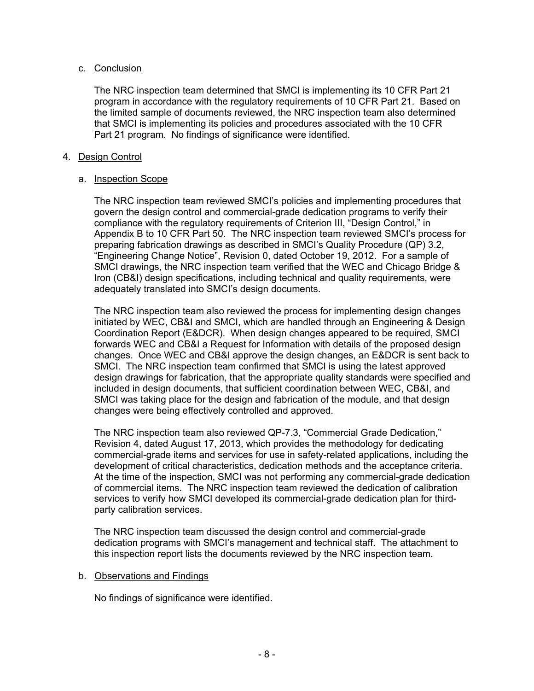# c. Conclusion

The NRC inspection team determined that SMCI is implementing its 10 CFR Part 21 program in accordance with the regulatory requirements of 10 CFR Part 21. Based on the limited sample of documents reviewed, the NRC inspection team also determined that SMCI is implementing its policies and procedures associated with the 10 CFR Part 21 program. No findings of significance were identified.

# 4. Design Control

#### a. Inspection Scope

The NRC inspection team reviewed SMCI's policies and implementing procedures that govern the design control and commercial-grade dedication programs to verify their compliance with the regulatory requirements of Criterion III, "Design Control," in Appendix B to 10 CFR Part 50. The NRC inspection team reviewed SMCI's process for preparing fabrication drawings as described in SMCI's Quality Procedure (QP) 3.2, "Engineering Change Notice", Revision 0, dated October 19, 2012. For a sample of SMCI drawings, the NRC inspection team verified that the WEC and Chicago Bridge & Iron (CB&I) design specifications, including technical and quality requirements, were adequately translated into SMCI's design documents.

The NRC inspection team also reviewed the process for implementing design changes initiated by WEC, CB&I and SMCI, which are handled through an Engineering & Design Coordination Report (E&DCR). When design changes appeared to be required, SMCI forwards WEC and CB&I a Request for Information with details of the proposed design changes. Once WEC and CB&I approve the design changes, an E&DCR is sent back to SMCI. The NRC inspection team confirmed that SMCI is using the latest approved design drawings for fabrication, that the appropriate quality standards were specified and included in design documents, that sufficient coordination between WEC, CB&I, and SMCI was taking place for the design and fabrication of the module, and that design changes were being effectively controlled and approved.

The NRC inspection team also reviewed QP-7.3, "Commercial Grade Dedication," Revision 4, dated August 17, 2013, which provides the methodology for dedicating commercial-grade items and services for use in safety-related applications, including the development of critical characteristics, dedication methods and the acceptance criteria. At the time of the inspection, SMCI was not performing any commercial-grade dedication of commercial items. The NRC inspection team reviewed the dedication of calibration services to verify how SMCI developed its commercial-grade dedication plan for thirdparty calibration services.

The NRC inspection team discussed the design control and commercial-grade dedication programs with SMCI's management and technical staff. The attachment to this inspection report lists the documents reviewed by the NRC inspection team.

# b. Observations and Findings

No findings of significance were identified.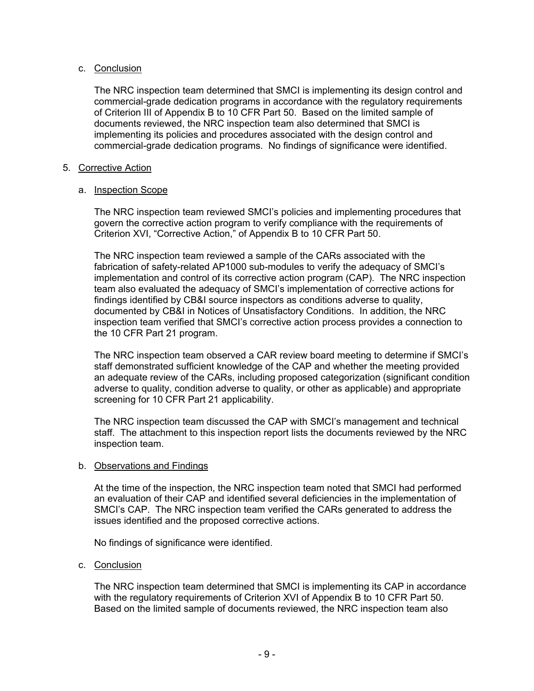# c. Conclusion

The NRC inspection team determined that SMCI is implementing its design control and commercial-grade dedication programs in accordance with the regulatory requirements of Criterion III of Appendix B to 10 CFR Part 50. Based on the limited sample of documents reviewed, the NRC inspection team also determined that SMCI is implementing its policies and procedures associated with the design control and commercial-grade dedication programs. No findings of significance were identified.

# 5. Corrective Action

# a. Inspection Scope

The NRC inspection team reviewed SMCI's policies and implementing procedures that govern the corrective action program to verify compliance with the requirements of Criterion XVI, "Corrective Action," of Appendix B to 10 CFR Part 50.

The NRC inspection team reviewed a sample of the CARs associated with the fabrication of safety-related AP1000 sub-modules to verify the adequacy of SMCI's implementation and control of its corrective action program (CAP). The NRC inspection team also evaluated the adequacy of SMCI's implementation of corrective actions for findings identified by CB&I source inspectors as conditions adverse to quality, documented by CB&I in Notices of Unsatisfactory Conditions. In addition, the NRC inspection team verified that SMCI's corrective action process provides a connection to the 10 CFR Part 21 program.

The NRC inspection team observed a CAR review board meeting to determine if SMCI's staff demonstrated sufficient knowledge of the CAP and whether the meeting provided an adequate review of the CARs, including proposed categorization (significant condition adverse to quality, condition adverse to quality, or other as applicable) and appropriate screening for 10 CFR Part 21 applicability.

The NRC inspection team discussed the CAP with SMCI's management and technical staff. The attachment to this inspection report lists the documents reviewed by the NRC inspection team.

# b. Observations and Findings

At the time of the inspection, the NRC inspection team noted that SMCI had performed an evaluation of their CAP and identified several deficiencies in the implementation of SMCI's CAP. The NRC inspection team verified the CARs generated to address the issues identified and the proposed corrective actions.

No findings of significance were identified.

# c. Conclusion

The NRC inspection team determined that SMCI is implementing its CAP in accordance with the regulatory requirements of Criterion XVI of Appendix B to 10 CFR Part 50. Based on the limited sample of documents reviewed, the NRC inspection team also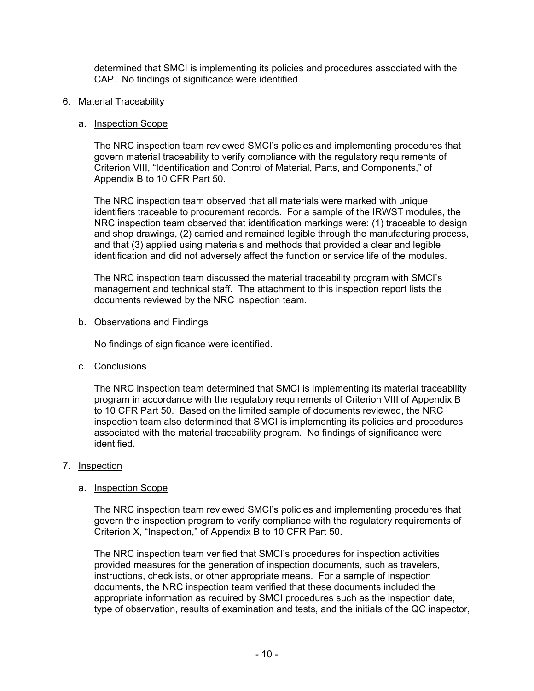determined that SMCI is implementing its policies and procedures associated with the CAP. No findings of significance were identified.

6. Material Traceability

#### a. Inspection Scope

The NRC inspection team reviewed SMCI's policies and implementing procedures that govern material traceability to verify compliance with the regulatory requirements of Criterion VIII, "Identification and Control of Material, Parts, and Components," of Appendix B to 10 CFR Part 50.

The NRC inspection team observed that all materials were marked with unique identifiers traceable to procurement records. For a sample of the IRWST modules, the NRC inspection team observed that identification markings were: (1) traceable to design and shop drawings, (2) carried and remained legible through the manufacturing process, and that (3) applied using materials and methods that provided a clear and legible identification and did not adversely affect the function or service life of the modules.

The NRC inspection team discussed the material traceability program with SMCI's management and technical staff. The attachment to this inspection report lists the documents reviewed by the NRC inspection team.

b. Observations and Findings

No findings of significance were identified.

c. Conclusions

The NRC inspection team determined that SMCI is implementing its material traceability program in accordance with the regulatory requirements of Criterion VIII of Appendix B to 10 CFR Part 50. Based on the limited sample of documents reviewed, the NRC inspection team also determined that SMCI is implementing its policies and procedures associated with the material traceability program. No findings of significance were identified.

# 7. Inspection

# a. Inspection Scope

The NRC inspection team reviewed SMCI's policies and implementing procedures that govern the inspection program to verify compliance with the regulatory requirements of Criterion X, "Inspection," of Appendix B to 10 CFR Part 50.

The NRC inspection team verified that SMCI's procedures for inspection activities provided measures for the generation of inspection documents, such as travelers, instructions, checklists, or other appropriate means. For a sample of inspection documents, the NRC inspection team verified that these documents included the appropriate information as required by SMCI procedures such as the inspection date, type of observation, results of examination and tests, and the initials of the QC inspector,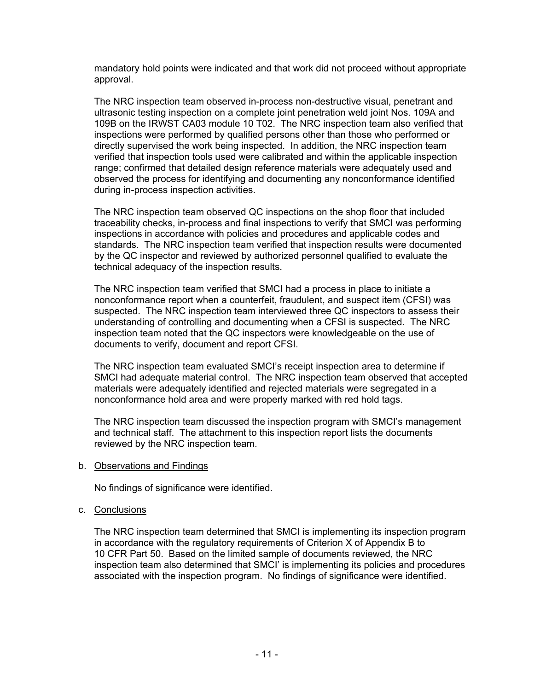mandatory hold points were indicated and that work did not proceed without appropriate approval.

The NRC inspection team observed in-process non-destructive visual, penetrant and ultrasonic testing inspection on a complete joint penetration weld joint Nos. 109A and 109B on the IRWST CA03 module 10 T02. The NRC inspection team also verified that inspections were performed by qualified persons other than those who performed or directly supervised the work being inspected. In addition, the NRC inspection team verified that inspection tools used were calibrated and within the applicable inspection range; confirmed that detailed design reference materials were adequately used and observed the process for identifying and documenting any nonconformance identified during in-process inspection activities.

The NRC inspection team observed QC inspections on the shop floor that included traceability checks, in-process and final inspections to verify that SMCI was performing inspections in accordance with policies and procedures and applicable codes and standards. The NRC inspection team verified that inspection results were documented by the QC inspector and reviewed by authorized personnel qualified to evaluate the technical adequacy of the inspection results.

The NRC inspection team verified that SMCI had a process in place to initiate a nonconformance report when a counterfeit, fraudulent, and suspect item (CFSI) was suspected. The NRC inspection team interviewed three QC inspectors to assess their understanding of controlling and documenting when a CFSI is suspected. The NRC inspection team noted that the QC inspectors were knowledgeable on the use of documents to verify, document and report CFSI.

The NRC inspection team evaluated SMCI's receipt inspection area to determine if SMCI had adequate material control. The NRC inspection team observed that accepted materials were adequately identified and rejected materials were segregated in a nonconformance hold area and were properly marked with red hold tags.

The NRC inspection team discussed the inspection program with SMCI's management and technical staff. The attachment to this inspection report lists the documents reviewed by the NRC inspection team.

b. Observations and Findings

No findings of significance were identified.

#### c. Conclusions

The NRC inspection team determined that SMCI is implementing its inspection program in accordance with the regulatory requirements of Criterion X of Appendix B to 10 CFR Part 50. Based on the limited sample of documents reviewed, the NRC inspection team also determined that SMCI' is implementing its policies and procedures associated with the inspection program. No findings of significance were identified.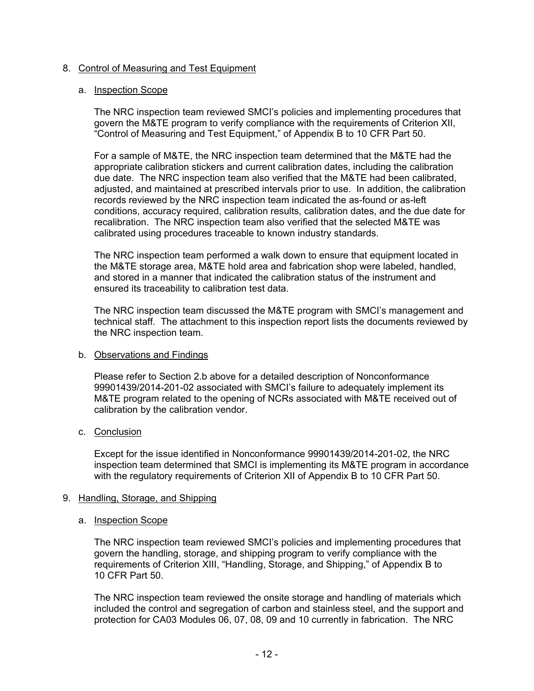# 8. Control of Measuring and Test Equipment

# a. Inspection Scope

The NRC inspection team reviewed SMCI's policies and implementing procedures that govern the M&TE program to verify compliance with the requirements of Criterion XII, "Control of Measuring and Test Equipment," of Appendix B to 10 CFR Part 50.

For a sample of M&TE, the NRC inspection team determined that the M&TE had the appropriate calibration stickers and current calibration dates, including the calibration due date. The NRC inspection team also verified that the M&TE had been calibrated, adjusted, and maintained at prescribed intervals prior to use. In addition, the calibration records reviewed by the NRC inspection team indicated the as-found or as-left conditions, accuracy required, calibration results, calibration dates, and the due date for recalibration. The NRC inspection team also verified that the selected M&TE was calibrated using procedures traceable to known industry standards.

The NRC inspection team performed a walk down to ensure that equipment located in the M&TE storage area, M&TE hold area and fabrication shop were labeled, handled, and stored in a manner that indicated the calibration status of the instrument and ensured its traceability to calibration test data.

The NRC inspection team discussed the M&TE program with SMCI's management and technical staff. The attachment to this inspection report lists the documents reviewed by the NRC inspection team.

# b. Observations and Findings

Please refer to Section 2.b above for a detailed description of Nonconformance 99901439/2014-201-02 associated with SMCI's failure to adequately implement its M&TE program related to the opening of NCRs associated with M&TE received out of calibration by the calibration vendor.

# c. Conclusion

Except for the issue identified in Nonconformance 99901439/2014-201-02, the NRC inspection team determined that SMCI is implementing its M&TE program in accordance with the regulatory requirements of Criterion XII of Appendix B to 10 CFR Part 50.

#### 9. Handling, Storage, and Shipping

#### a. Inspection Scope

The NRC inspection team reviewed SMCI's policies and implementing procedures that govern the handling, storage, and shipping program to verify compliance with the requirements of Criterion XIII, "Handling, Storage, and Shipping," of Appendix B to 10 CFR Part 50.

The NRC inspection team reviewed the onsite storage and handling of materials which included the control and segregation of carbon and stainless steel, and the support and protection for CA03 Modules 06, 07, 08, 09 and 10 currently in fabrication. The NRC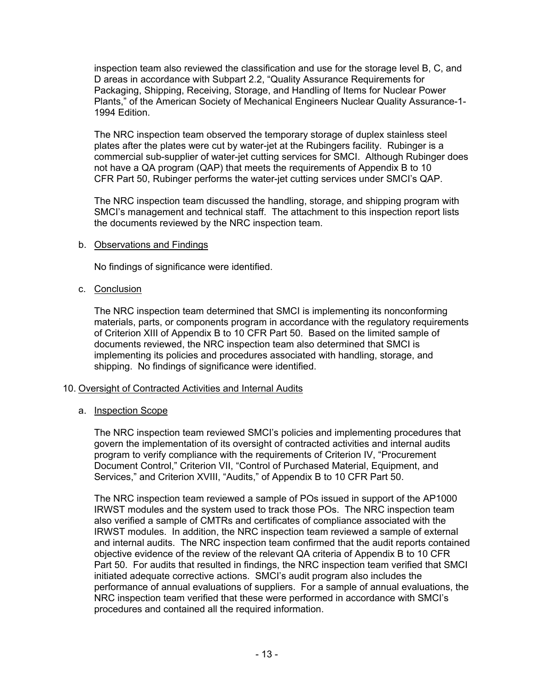inspection team also reviewed the classification and use for the storage level B, C, and D areas in accordance with Subpart 2.2, "Quality Assurance Requirements for Packaging, Shipping, Receiving, Storage, and Handling of Items for Nuclear Power Plants," of the American Society of Mechanical Engineers Nuclear Quality Assurance-1- 1994 Edition.

The NRC inspection team observed the temporary storage of duplex stainless steel plates after the plates were cut by water-jet at the Rubingers facility. Rubinger is a commercial sub-supplier of water-jet cutting services for SMCI. Although Rubinger does not have a QA program (QAP) that meets the requirements of Appendix B to 10 CFR Part 50, Rubinger performs the water-jet cutting services under SMCI's QAP.

The NRC inspection team discussed the handling, storage, and shipping program with SMCI's management and technical staff. The attachment to this inspection report lists the documents reviewed by the NRC inspection team.

# b. Observations and Findings

No findings of significance were identified.

#### c. Conclusion

The NRC inspection team determined that SMCI is implementing its nonconforming materials, parts, or components program in accordance with the regulatory requirements of Criterion XIII of Appendix B to 10 CFR Part 50. Based on the limited sample of documents reviewed, the NRC inspection team also determined that SMCI is implementing its policies and procedures associated with handling, storage, and shipping. No findings of significance were identified.

# 10. Oversight of Contracted Activities and Internal Audits

# a. Inspection Scope

The NRC inspection team reviewed SMCI's policies and implementing procedures that govern the implementation of its oversight of contracted activities and internal audits program to verify compliance with the requirements of Criterion IV, "Procurement Document Control," Criterion VII, "Control of Purchased Material, Equipment, and Services," and Criterion XVIII, "Audits," of Appendix B to 10 CFR Part 50.

The NRC inspection team reviewed a sample of POs issued in support of the AP1000 IRWST modules and the system used to track those POs. The NRC inspection team also verified a sample of CMTRs and certificates of compliance associated with the IRWST modules. In addition, the NRC inspection team reviewed a sample of external and internal audits. The NRC inspection team confirmed that the audit reports contained objective evidence of the review of the relevant QA criteria of Appendix B to 10 CFR Part 50. For audits that resulted in findings, the NRC inspection team verified that SMCI initiated adequate corrective actions. SMCI's audit program also includes the performance of annual evaluations of suppliers. For a sample of annual evaluations, the NRC inspection team verified that these were performed in accordance with SMCI's procedures and contained all the required information.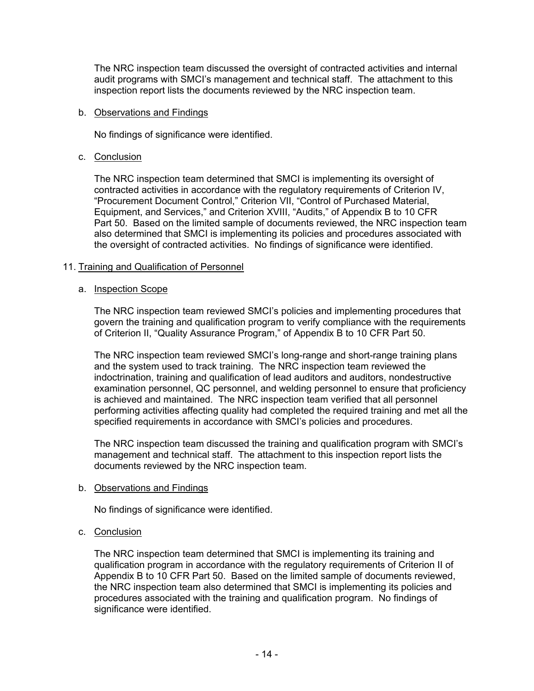The NRC inspection team discussed the oversight of contracted activities and internal audit programs with SMCI's management and technical staff. The attachment to this inspection report lists the documents reviewed by the NRC inspection team.

#### b. Observations and Findings

No findings of significance were identified.

# c. Conclusion

The NRC inspection team determined that SMCI is implementing its oversight of contracted activities in accordance with the regulatory requirements of Criterion IV, "Procurement Document Control," Criterion VII, "Control of Purchased Material, Equipment, and Services," and Criterion XVIII, "Audits," of Appendix B to 10 CFR Part 50. Based on the limited sample of documents reviewed, the NRC inspection team also determined that SMCI is implementing its policies and procedures associated with the oversight of contracted activities. No findings of significance were identified.

# 11. Training and Qualification of Personnel

#### a. Inspection Scope

The NRC inspection team reviewed SMCI's policies and implementing procedures that govern the training and qualification program to verify compliance with the requirements of Criterion II, "Quality Assurance Program," of Appendix B to 10 CFR Part 50.

The NRC inspection team reviewed SMCI's long-range and short-range training plans and the system used to track training. The NRC inspection team reviewed the indoctrination, training and qualification of lead auditors and auditors, nondestructive examination personnel, QC personnel, and welding personnel to ensure that proficiency is achieved and maintained. The NRC inspection team verified that all personnel performing activities affecting quality had completed the required training and met all the specified requirements in accordance with SMCI's policies and procedures.

The NRC inspection team discussed the training and qualification program with SMCI's management and technical staff. The attachment to this inspection report lists the documents reviewed by the NRC inspection team.

# b. Observations and Findings

No findings of significance were identified.

# c. Conclusion

The NRC inspection team determined that SMCI is implementing its training and qualification program in accordance with the regulatory requirements of Criterion II of Appendix B to 10 CFR Part 50. Based on the limited sample of documents reviewed, the NRC inspection team also determined that SMCI is implementing its policies and procedures associated with the training and qualification program. No findings of significance were identified.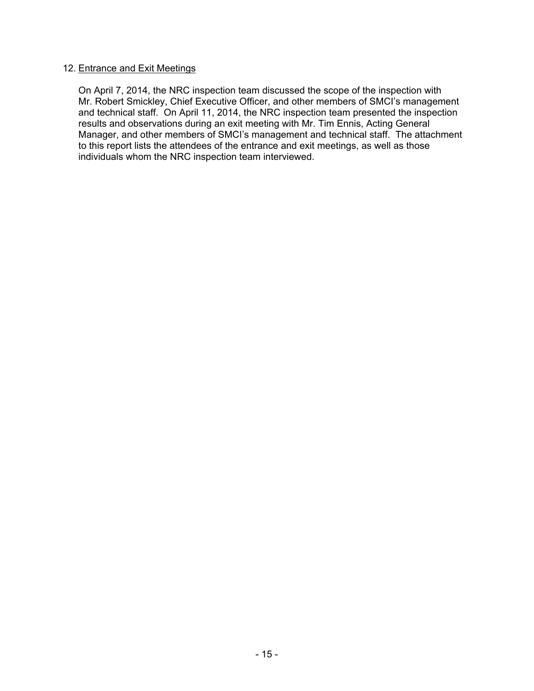# 12. Entrance and Exit Meetings

On April 7, 2014, the NRC inspection team discussed the scope of the inspection with Mr. Robert Smickley, Chief Executive Officer, and other members of SMCI's management and technical staff. On April 11, 2014, the NRC inspection team presented the inspection results and observations during an exit meeting with Mr. Tim Ennis, Acting General Manager, and other members of SMCI's management and technical staff. The attachment to this report lists the attendees of the entrance and exit meetings, as well as those individuals whom the NRC inspection team interviewed.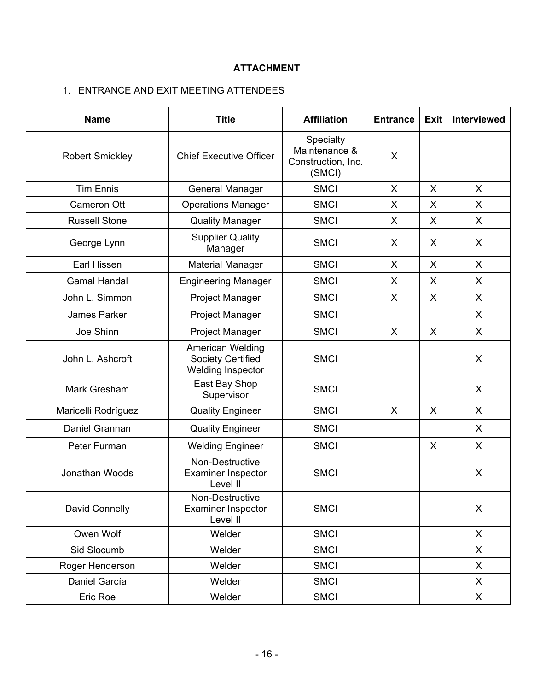# **ATTACHMENT**

# 1. ENTRANCE AND EXIT MEETING ATTENDEES

| <b>Name</b>            | <b>Title</b><br><b>Affiliation</b>                                |                                                            | <b>Entrance</b> | <b>Exit</b> | Interviewed  |
|------------------------|-------------------------------------------------------------------|------------------------------------------------------------|-----------------|-------------|--------------|
| <b>Robert Smickley</b> | <b>Chief Executive Officer</b>                                    | Specialty<br>Maintenance &<br>Construction, Inc.<br>(SMCI) | X               |             |              |
| <b>Tim Ennis</b>       | <b>General Manager</b>                                            | <b>SMCI</b>                                                | $\sf X$         | X           | $\mathsf{X}$ |
| Cameron Ott            | <b>Operations Manager</b>                                         | <b>SMCI</b>                                                | X               | X           | X            |
| <b>Russell Stone</b>   | <b>Quality Manager</b>                                            | <b>SMCI</b>                                                | X               | X           | X            |
| George Lynn            | <b>Supplier Quality</b><br>Manager                                | <b>SMCI</b>                                                | X               | X           | X            |
| Earl Hissen            | <b>Material Manager</b>                                           | <b>SMCI</b>                                                | X               | X           | X            |
| <b>Gamal Handal</b>    | <b>Engineering Manager</b>                                        | <b>SMCI</b>                                                | X               | X           | X            |
| John L. Simmon         | <b>Project Manager</b>                                            | <b>SMCI</b>                                                | X               | X           | X            |
| James Parker           | <b>Project Manager</b>                                            | <b>SMCI</b>                                                |                 |             | X            |
| Joe Shinn              | Project Manager                                                   | <b>SMCI</b>                                                | $\sf X$         | X           | X            |
| John L. Ashcroft       | American Welding<br><b>Society Certified</b><br>Welding Inspector | <b>SMCI</b>                                                |                 |             | X            |
| Mark Gresham           | East Bay Shop<br>Supervisor                                       | <b>SMCI</b>                                                |                 |             | X            |
| Maricelli Rodríguez    | <b>Quality Engineer</b>                                           | <b>SMCI</b>                                                | X               | X           | X            |
| Daniel Grannan         | <b>Quality Engineer</b>                                           | <b>SMCI</b>                                                |                 |             | X            |
| Peter Furman           | <b>Welding Engineer</b>                                           | <b>SMCI</b>                                                |                 | X           | X            |
| Jonathan Woods         | Non-Destructive<br><b>Examiner Inspector</b><br>Level II          | <b>SMCI</b>                                                |                 |             | X            |
| David Connelly         | Non-Destructive<br><b>Examiner Inspector</b><br>Level II          | <b>SMCI</b>                                                |                 |             | X            |
| Owen Wolf              | Welder                                                            | <b>SMCI</b>                                                |                 |             | X            |
| Sid Slocumb            | Welder                                                            | <b>SMCI</b>                                                |                 |             | X            |
| Roger Henderson        | Welder                                                            | <b>SMCI</b>                                                |                 |             | X            |
| Daniel García          | Welder                                                            | <b>SMCI</b>                                                |                 |             | X            |
| Eric Roe               | Welder                                                            | <b>SMCI</b>                                                |                 |             | X            |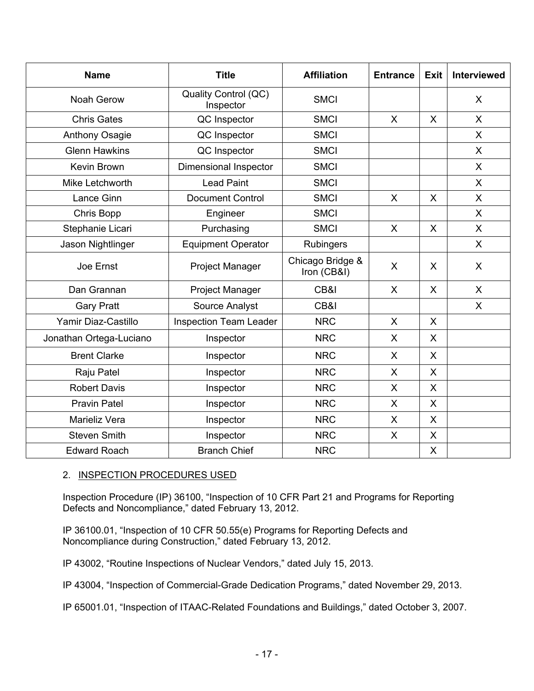| <b>Name</b>             | <b>Title</b>                      | <b>Affiliation</b>              | <b>Entrance</b> | <b>Exit</b> | <b>Interviewed</b> |
|-------------------------|-----------------------------------|---------------------------------|-----------------|-------------|--------------------|
| <b>Noah Gerow</b>       | Quality Control (QC)<br>Inspector | <b>SMCI</b>                     |                 |             | X                  |
| <b>Chris Gates</b>      | QC Inspector                      | <b>SMCI</b>                     | X               | $\sf X$     | $\sf X$            |
| <b>Anthony Osagie</b>   | QC Inspector                      | <b>SMCI</b>                     |                 |             | X                  |
| <b>Glenn Hawkins</b>    | QC Inspector                      | <b>SMCI</b>                     |                 |             | X                  |
| Kevin Brown             | <b>Dimensional Inspector</b>      | <b>SMCI</b>                     |                 |             | X                  |
| Mike Letchworth         | <b>Lead Paint</b>                 | <b>SMCI</b>                     |                 |             | X                  |
| Lance Ginn              | <b>Document Control</b>           | <b>SMCI</b>                     | $\mathsf{X}$    | $\sf X$     | X                  |
| Chris Bopp              | Engineer                          | <b>SMCI</b>                     |                 |             | X                  |
| Stephanie Licari        | Purchasing                        | <b>SMCI</b>                     | X               | X           | X                  |
| Jason Nightlinger       | <b>Equipment Operator</b>         | <b>Rubingers</b>                |                 |             | X                  |
| Joe Ernst               | <b>Project Manager</b>            | Chicago Bridge &<br>Iron (CB&I) | X               | X           | X                  |
| Dan Grannan             | <b>Project Manager</b>            | CB&I                            | X               | $\sf X$     | X                  |
| <b>Gary Pratt</b>       | Source Analyst                    | CB&I                            |                 |             | $\mathsf{X}$       |
| Yamir Diaz-Castillo     | <b>Inspection Team Leader</b>     | <b>NRC</b>                      | X               | X           |                    |
| Jonathan Ortega-Luciano | Inspector                         | <b>NRC</b>                      | X               | X           |                    |
| <b>Brent Clarke</b>     | Inspector                         | <b>NRC</b>                      | X               | X           |                    |
| Raju Patel              | Inspector                         |                                 | X               | $\sf X$     |                    |
| <b>Robert Davis</b>     | Inspector                         | <b>NRC</b>                      | X               | X           |                    |
| <b>Pravin Patel</b>     | Inspector                         | <b>NRC</b>                      | X               | X           |                    |
| Marieliz Vera           | Inspector                         |                                 | X               | $\sf X$     |                    |
| <b>Steven Smith</b>     | Inspector                         |                                 | X               | X           |                    |
| <b>Edward Roach</b>     | <b>Branch Chief</b>               | <b>NRC</b>                      |                 | X           |                    |

# 2. INSPECTION PROCEDURES USED

Inspection Procedure (IP) 36100, "Inspection of 10 CFR Part 21 and Programs for Reporting Defects and Noncompliance," dated February 13, 2012.

IP 36100.01, "Inspection of 10 CFR 50.55(e) Programs for Reporting Defects and Noncompliance during Construction," dated February 13, 2012.

IP 43002, "Routine Inspections of Nuclear Vendors," dated July 15, 2013.

IP 43004, "Inspection of Commercial-Grade Dedication Programs," dated November 29, 2013.

IP 65001.01, "Inspection of ITAAC-Related Foundations and Buildings," dated October 3, 2007.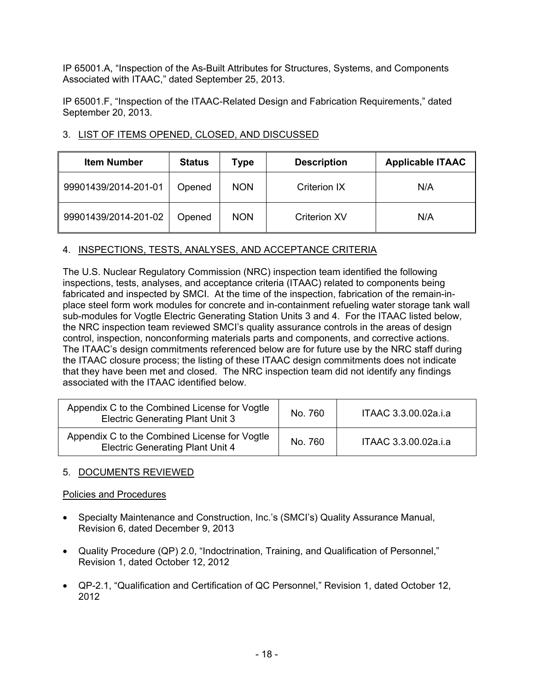IP 65001.A, "Inspection of the As-Built Attributes for Structures, Systems, and Components Associated with ITAAC," dated September 25, 2013.

IP 65001.F, "Inspection of the ITAAC-Related Design and Fabrication Requirements," dated September 20, 2013.

# 3. LIST OF ITEMS OPENED, CLOSED, AND DISCUSSED

| <b>Item Number</b>   | <b>Status</b> | Type       | <b>Description</b>  | <b>Applicable ITAAC</b> |
|----------------------|---------------|------------|---------------------|-------------------------|
| 99901439/2014-201-01 | Opened        | <b>NON</b> | <b>Criterion IX</b> | N/A                     |
| 99901439/2014-201-02 | Opened        | <b>NON</b> | <b>Criterion XV</b> | N/A                     |

# 4. INSPECTIONS, TESTS, ANALYSES, AND ACCEPTANCE CRITERIA

The U.S. Nuclear Regulatory Commission (NRC) inspection team identified the following inspections, tests, analyses, and acceptance criteria (ITAAC) related to components being fabricated and inspected by SMCI. At the time of the inspection, fabrication of the remain-inplace steel form work modules for concrete and in-containment refueling water storage tank wall sub-modules for Vogtle Electric Generating Station Units 3 and 4. For the ITAAC listed below, the NRC inspection team reviewed SMCI's quality assurance controls in the areas of design control, inspection, nonconforming materials parts and components, and corrective actions. The ITAAC's design commitments referenced below are for future use by the NRC staff during the ITAAC closure process; the listing of these ITAAC design commitments does not indicate that they have been met and closed. The NRC inspection team did not identify any findings associated with the ITAAC identified below.

| Appendix C to the Combined License for Vogtle<br><b>Electric Generating Plant Unit 3</b> | No. 760 | ITAAC 3.3.00.02a.i.a |
|------------------------------------------------------------------------------------------|---------|----------------------|
| Appendix C to the Combined License for Vogtle<br><b>Electric Generating Plant Unit 4</b> | No. 760 | ITAAC 3.3.00.02a.i.a |

# 5. DOCUMENTS REVIEWED

Policies and Procedures

- Specialty Maintenance and Construction, Inc.'s (SMCI's) Quality Assurance Manual, Revision 6, dated December 9, 2013
- Quality Procedure (QP) 2.0, "Indoctrination, Training, and Qualification of Personnel," Revision 1, dated October 12, 2012
- QP-2.1, "Qualification and Certification of QC Personnel," Revision 1, dated October 12, 2012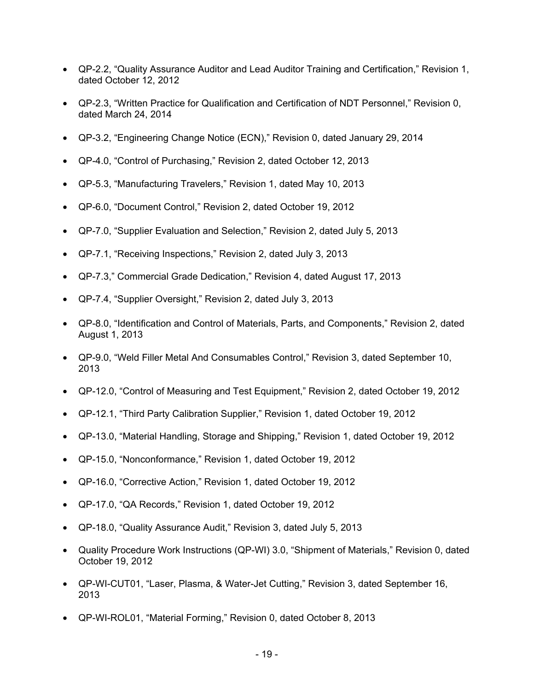- QP-2.2, "Quality Assurance Auditor and Lead Auditor Training and Certification," Revision 1, dated October 12, 2012
- QP-2.3, "Written Practice for Qualification and Certification of NDT Personnel," Revision 0, dated March 24, 2014
- QP-3.2, "Engineering Change Notice (ECN)," Revision 0, dated January 29, 2014
- QP-4.0, "Control of Purchasing," Revision 2, dated October 12, 2013
- QP-5.3, "Manufacturing Travelers," Revision 1, dated May 10, 2013
- QP-6.0, "Document Control," Revision 2, dated October 19, 2012
- QP-7.0, "Supplier Evaluation and Selection," Revision 2, dated July 5, 2013
- QP-7.1, "Receiving Inspections," Revision 2, dated July 3, 2013
- QP-7.3," Commercial Grade Dedication," Revision 4, dated August 17, 2013
- QP-7.4, "Supplier Oversight," Revision 2, dated July 3, 2013
- QP-8.0, "Identification and Control of Materials, Parts, and Components," Revision 2, dated August 1, 2013
- QP-9.0, "Weld Filler Metal And Consumables Control," Revision 3, dated September 10, 2013
- QP-12.0, "Control of Measuring and Test Equipment," Revision 2, dated October 19, 2012
- QP-12.1, "Third Party Calibration Supplier," Revision 1, dated October 19, 2012
- QP-13.0, "Material Handling, Storage and Shipping," Revision 1, dated October 19, 2012
- QP-15.0, "Nonconformance," Revision 1, dated October 19, 2012
- QP-16.0, "Corrective Action," Revision 1, dated October 19, 2012
- QP-17.0, "QA Records," Revision 1, dated October 19, 2012
- QP-18.0, "Quality Assurance Audit," Revision 3, dated July 5, 2013
- Quality Procedure Work Instructions (QP-WI) 3.0, "Shipment of Materials," Revision 0, dated October 19, 2012
- QP-WI-CUT01, "Laser, Plasma, & Water-Jet Cutting," Revision 3, dated September 16, 2013
- QP-WI-ROL01, "Material Forming," Revision 0, dated October 8, 2013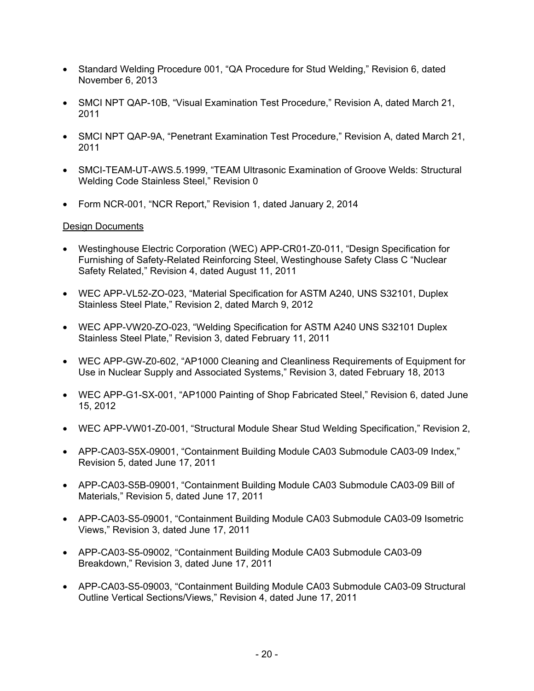- Standard Welding Procedure 001, "QA Procedure for Stud Welding," Revision 6, dated November 6, 2013
- SMCI NPT QAP-10B, "Visual Examination Test Procedure," Revision A, dated March 21, 2011
- SMCI NPT QAP-9A, "Penetrant Examination Test Procedure," Revision A, dated March 21, 2011
- SMCI-TEAM-UT-AWS.5.1999, "TEAM Ultrasonic Examination of Groove Welds: Structural Welding Code Stainless Steel," Revision 0
- Form NCR-001, "NCR Report," Revision 1, dated January 2, 2014

# Design Documents

- Westinghouse Electric Corporation (WEC) APP-CR01-Z0-011, "Design Specification for Furnishing of Safety-Related Reinforcing Steel, Westinghouse Safety Class C "Nuclear Safety Related," Revision 4, dated August 11, 2011
- WEC APP-VL52-ZO-023, "Material Specification for ASTM A240, UNS S32101, Duplex Stainless Steel Plate," Revision 2, dated March 9, 2012
- WEC APP-VW20-ZO-023, "Welding Specification for ASTM A240 UNS S32101 Duplex Stainless Steel Plate," Revision 3, dated February 11, 2011
- WEC APP-GW-Z0-602, "AP1000 Cleaning and Cleanliness Requirements of Equipment for Use in Nuclear Supply and Associated Systems," Revision 3, dated February 18, 2013
- WEC APP-G1-SX-001, "AP1000 Painting of Shop Fabricated Steel," Revision 6, dated June 15, 2012
- WEC APP-VW01-Z0-001, "Structural Module Shear Stud Welding Specification," Revision 2,
- APP-CA03-S5X-09001, "Containment Building Module CA03 Submodule CA03-09 Index," Revision 5, dated June 17, 2011
- APP-CA03-S5B-09001, "Containment Building Module CA03 Submodule CA03-09 Bill of Materials," Revision 5, dated June 17, 2011
- APP-CA03-S5-09001, "Containment Building Module CA03 Submodule CA03-09 Isometric Views," Revision 3, dated June 17, 2011
- APP-CA03-S5-09002, "Containment Building Module CA03 Submodule CA03-09 Breakdown," Revision 3, dated June 17, 2011
- APP-CA03-S5-09003, "Containment Building Module CA03 Submodule CA03-09 Structural Outline Vertical Sections/Views," Revision 4, dated June 17, 2011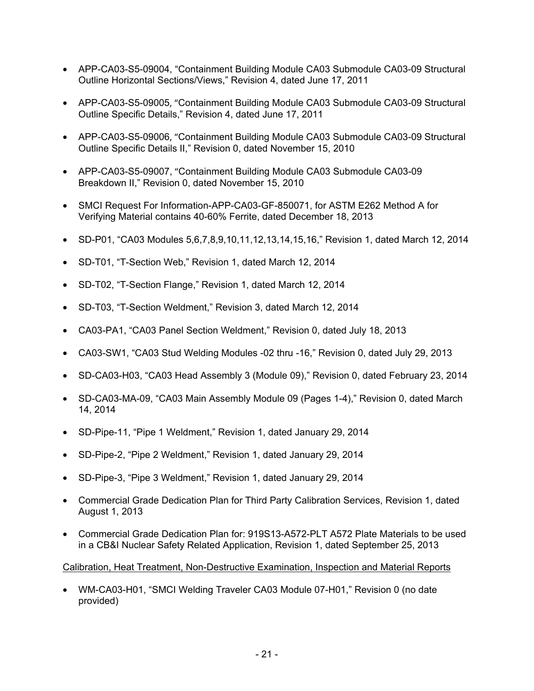- APP-CA03-S5-09004, "Containment Building Module CA03 Submodule CA03-09 Structural Outline Horizontal Sections/Views," Revision 4, dated June 17, 2011
- APP-CA03-S5-09005, "Containment Building Module CA03 Submodule CA03-09 Structural Outline Specific Details," Revision 4, dated June 17, 2011
- APP-CA03-S5-09006, "Containment Building Module CA03 Submodule CA03-09 Structural Outline Specific Details II," Revision 0, dated November 15, 2010
- APP-CA03-S5-09007, "Containment Building Module CA03 Submodule CA03-09 Breakdown II," Revision 0, dated November 15, 2010
- SMCI Request For Information-APP-CA03-GF-850071, for ASTM E262 Method A for Verifying Material contains 40-60% Ferrite, dated December 18, 2013
- SD-P01, "CA03 Modules 5,6,7,8,9,10,11,12,13,14,15,16," Revision 1, dated March 12, 2014
- SD-T01, "T-Section Web," Revision 1, dated March 12, 2014
- SD-T02, "T-Section Flange," Revision 1, dated March 12, 2014
- SD-T03, "T-Section Weldment," Revision 3, dated March 12, 2014
- CA03-PA1, "CA03 Panel Section Weldment," Revision 0, dated July 18, 2013
- CA03-SW1, "CA03 Stud Welding Modules -02 thru -16," Revision 0, dated July 29, 2013
- SD-CA03-H03, "CA03 Head Assembly 3 (Module 09)," Revision 0, dated February 23, 2014
- SD-CA03-MA-09, "CA03 Main Assembly Module 09 (Pages 1-4)," Revision 0, dated March 14, 2014
- SD-Pipe-11, "Pipe 1 Weldment," Revision 1, dated January 29, 2014
- SD-Pipe-2, "Pipe 2 Weldment," Revision 1, dated January 29, 2014
- SD-Pipe-3, "Pipe 3 Weldment," Revision 1, dated January 29, 2014
- Commercial Grade Dedication Plan for Third Party Calibration Services, Revision 1, dated August 1, 2013
- Commercial Grade Dedication Plan for: 919S13-A572-PLT A572 Plate Materials to be used in a CB&I Nuclear Safety Related Application, Revision 1, dated September 25, 2013

# Calibration, Heat Treatment, Non-Destructive Examination, Inspection and Material Reports

• WM-CA03-H01, "SMCI Welding Traveler CA03 Module 07-H01," Revision 0 (no date provided)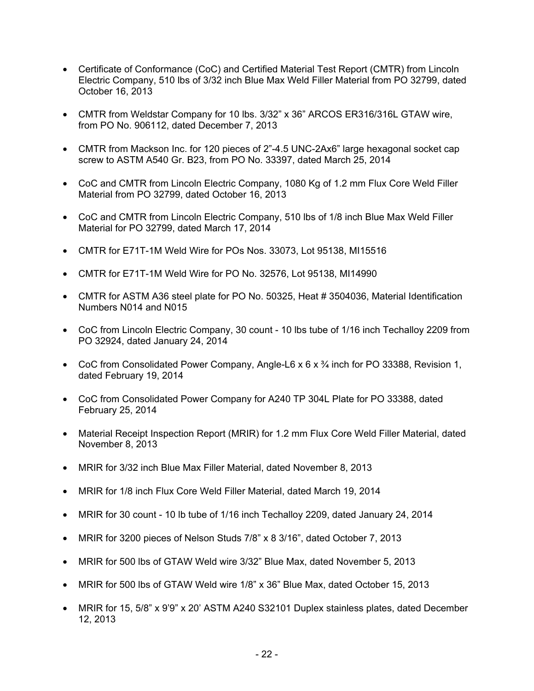- Certificate of Conformance (CoC) and Certified Material Test Report (CMTR) from Lincoln Electric Company, 510 lbs of 3/32 inch Blue Max Weld Filler Material from PO 32799, dated October 16, 2013
- CMTR from Weldstar Company for 10 lbs. 3/32" x 36" ARCOS ER316/316L GTAW wire, from PO No. 906112, dated December 7, 2013
- CMTR from Mackson Inc. for 120 pieces of 2"-4.5 UNC-2Ax6" large hexagonal socket cap screw to ASTM A540 Gr. B23, from PO No. 33397, dated March 25, 2014
- CoC and CMTR from Lincoln Electric Company, 1080 Kg of 1.2 mm Flux Core Weld Filler Material from PO 32799, dated October 16, 2013
- CoC and CMTR from Lincoln Electric Company, 510 lbs of 1/8 inch Blue Max Weld Filler Material for PO 32799, dated March 17, 2014
- CMTR for E71T-1M Weld Wire for POs Nos. 33073, Lot 95138, MI15516
- CMTR for E71T-1M Weld Wire for PO No. 32576, Lot 95138, MI14990
- CMTR for ASTM A36 steel plate for PO No. 50325, Heat # 3504036, Material Identification Numbers N014 and N015
- CoC from Lincoln Electric Company, 30 count 10 lbs tube of 1/16 inch Techalloy 2209 from PO 32924, dated January 24, 2014
- CoC from Consolidated Power Company, Angle-L6 x 6 x <sup>3</sup>/<sub>4</sub> inch for PO 33388, Revision 1, dated February 19, 2014
- CoC from Consolidated Power Company for A240 TP 304L Plate for PO 33388, dated February 25, 2014
- Material Receipt Inspection Report (MRIR) for 1.2 mm Flux Core Weld Filler Material, dated November 8, 2013
- MRIR for 3/32 inch Blue Max Filler Material, dated November 8, 2013
- MRIR for 1/8 inch Flux Core Weld Filler Material, dated March 19, 2014
- MRIR for 30 count 10 lb tube of 1/16 inch Techalloy 2209, dated January 24, 2014
- MRIR for 3200 pieces of Nelson Studs 7/8" x 8 3/16", dated October 7, 2013
- MRIR for 500 lbs of GTAW Weld wire 3/32" Blue Max, dated November 5, 2013
- MRIR for 500 lbs of GTAW Weld wire 1/8" x 36" Blue Max, dated October 15, 2013
- MRIR for 15, 5/8" x 9'9" x 20' ASTM A240 S32101 Duplex stainless plates, dated December 12, 2013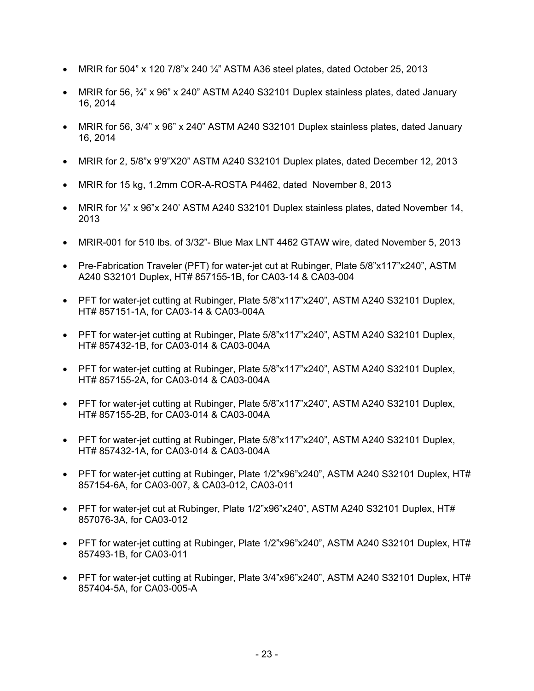- MRIR for 504" x 120 7/8"x 240  $\frac{1}{4}$ " ASTM A36 steel plates, dated October 25, 2013
- MRIR for 56,  $\frac{3}{4}$  x 96" x 240" ASTM A240 S32101 Duplex stainless plates, dated January 16, 2014
- MRIR for 56, 3/4" x 96" x 240" ASTM A240 S32101 Duplex stainless plates, dated January 16, 2014
- MRIR for 2, 5/8"x 9'9"X20" ASTM A240 S32101 Duplex plates, dated December 12, 2013
- MRIR for 15 kg, 1.2mm COR-A-ROSTA P4462, dated November 8, 2013
- MRIR for  $\frac{1}{2}$ " x 96"x 240' ASTM A240 S32101 Duplex stainless plates, dated November 14, 2013
- MRIR-001 for 510 lbs. of 3/32"- Blue Max LNT 4462 GTAW wire, dated November 5, 2013
- Pre-Fabrication Traveler (PFT) for water-jet cut at Rubinger, Plate 5/8"x117"x240", ASTM A240 S32101 Duplex, HT# 857155-1B, for CA03-14 & CA03-004
- PFT for water-jet cutting at Rubinger, Plate 5/8"x117"x240", ASTM A240 S32101 Duplex, HT# 857151-1A, for CA03-14 & CA03-004A
- PFT for water-jet cutting at Rubinger, Plate 5/8"x117"x240", ASTM A240 S32101 Duplex, HT# 857432-1B, for CA03-014 & CA03-004A
- PFT for water-jet cutting at Rubinger, Plate 5/8"x117"x240", ASTM A240 S32101 Duplex, HT# 857155-2A, for CA03-014 & CA03-004A
- PFT for water-jet cutting at Rubinger, Plate 5/8"x117"x240", ASTM A240 S32101 Duplex, HT# 857155-2B, for CA03-014 & CA03-004A
- PFT for water-jet cutting at Rubinger, Plate 5/8"x117"x240", ASTM A240 S32101 Duplex, HT# 857432-1A, for CA03-014 & CA03-004A
- PFT for water-jet cutting at Rubinger, Plate 1/2"x96"x240", ASTM A240 S32101 Duplex, HT# 857154-6A, for CA03-007, & CA03-012, CA03-011
- PFT for water-jet cut at Rubinger, Plate 1/2"x96"x240", ASTM A240 S32101 Duplex, HT# 857076-3A, for CA03-012
- PFT for water-jet cutting at Rubinger, Plate 1/2"x96"x240", ASTM A240 S32101 Duplex, HT# 857493-1B, for CA03-011
- PFT for water-jet cutting at Rubinger, Plate 3/4"x96"x240", ASTM A240 S32101 Duplex, HT# 857404-5A, for CA03-005-A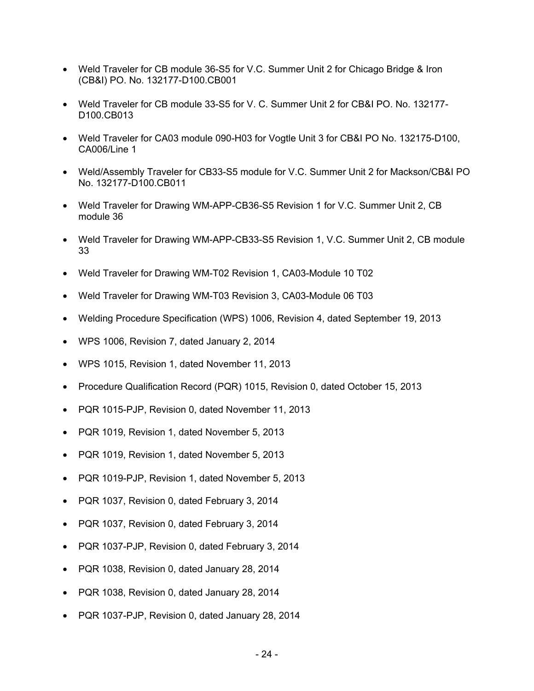- Weld Traveler for CB module 36-S5 for V.C. Summer Unit 2 for Chicago Bridge & Iron (CB&I) PO. No. 132177-D100.CB001
- Weld Traveler for CB module 33-S5 for V. C. Summer Unit 2 for CB&I PO. No. 132177- D100.CB013
- Weld Traveler for CA03 module 090-H03 for Vogtle Unit 3 for CB&I PO No. 132175-D100, CA006/Line 1
- Weld/Assembly Traveler for CB33-S5 module for V.C. Summer Unit 2 for Mackson/CB&I PO No. 132177-D100.CB011
- Weld Traveler for Drawing WM-APP-CB36-S5 Revision 1 for V.C. Summer Unit 2, CB module 36
- Weld Traveler for Drawing WM-APP-CB33-S5 Revision 1, V.C. Summer Unit 2, CB module 33
- Weld Traveler for Drawing WM-T02 Revision 1, CA03-Module 10 T02
- Weld Traveler for Drawing WM-T03 Revision 3, CA03-Module 06 T03
- Welding Procedure Specification (WPS) 1006, Revision 4, dated September 19, 2013
- WPS 1006, Revision 7, dated January 2, 2014
- WPS 1015, Revision 1, dated November 11, 2013
- Procedure Qualification Record (PQR) 1015, Revision 0, dated October 15, 2013
- PQR 1015-PJP, Revision 0, dated November 11, 2013
- PQR 1019, Revision 1, dated November 5, 2013
- PQR 1019, Revision 1, dated November 5, 2013
- PQR 1019-PJP, Revision 1, dated November 5, 2013
- PQR 1037, Revision 0, dated February 3, 2014
- PQR 1037, Revision 0, dated February 3, 2014
- PQR 1037-PJP, Revision 0, dated February 3, 2014
- PQR 1038, Revision 0, dated January 28, 2014
- PQR 1038, Revision 0, dated January 28, 2014
- PQR 1037-PJP, Revision 0, dated January 28, 2014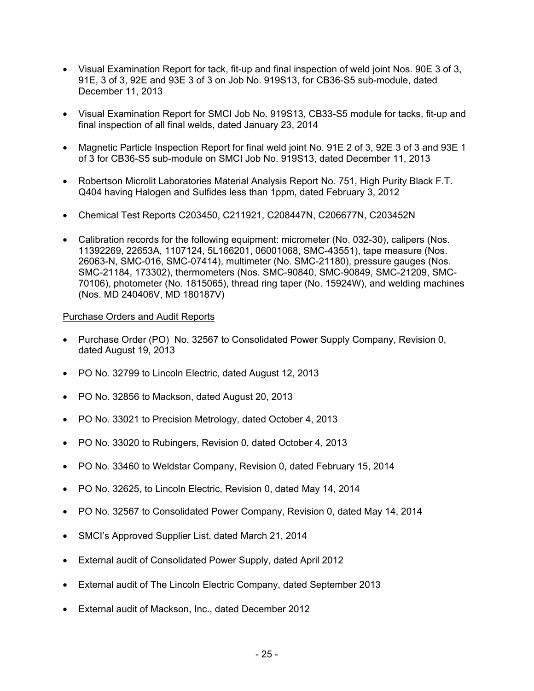- Visual Examination Report for tack, fit-up and final inspection of weld joint Nos. 90E 3 of 3, 91E, 3 of 3, 92E and 93E 3 of 3 on Job No. 919S13, for CB36-S5 sub-module, dated December 11, 2013
- Visual Examination Report for SMCI Job No. 919S13, CB33-S5 module for tacks, fit-up and final inspection of all final welds, dated January 23, 2014
- Magnetic Particle Inspection Report for final weld joint No. 91 E 2 of 3, 92 E 3 of 3 and 93 E 1 of 3 for CB36-S5 sub-module on SMCI Job No. 919S13, dated December 11, 2013
- Robertson Microlit Laboratories Material Analysis Report No. 751, High Purity Black F.T. Q404 having Halogen and Sulfides less than 1ppm, dated February 3, 2012
- Chemical Test Reports C203450, C211921, C208447N, C206677N, C203452N
- Calibration records for the following equipment: micrometer (No. 032-30), calipers (Nos. 11392269, 22653A, 1107124, 5L166201, 06001068, SMC-43551), tape measure (Nos. 26063-N, SMC-016, SMC-07414), multimeter (No. SMC-21180), pressure gauges (Nos. SMC-21184, 173302), thermometers (Nos. SMC-90840, SMC-90849, SMC-21209, SMC-70106), photometer (No. 1815065), thread ring taper (No. 15924W), and welding machines (Nos. MD 240406V, MD 180187V)

#### Purchase Orders and Audit Reports

- Purchase Order (PO) No. 32567 to Consolidated Power Supply Company, Revision 0, dated August 19, 2013
- PO No. 32799 to Lincoln Electric, dated August 12, 2013
- PO No. 32856 to Mackson, dated August 20, 2013
- PO No. 33021 to Precision Metrology, dated October 4, 2013
- PO No. 33020 to Rubingers, Revision 0, dated October 4, 2013
- PO No. 33460 to Weldstar Company, Revision 0, dated February 15, 2014
- PO No. 32625, to Lincoln Electric, Revision 0, dated May 14, 2014
- PO No. 32567 to Consolidated Power Company, Revision 0, dated May 14, 2014
- SMCI's Approved Supplier List, dated March 21, 2014
- External audit of Consolidated Power Supply, dated April 2012
- External audit of The Lincoln Electric Company, dated September 2013
- External audit of Mackson, Inc., dated December 2012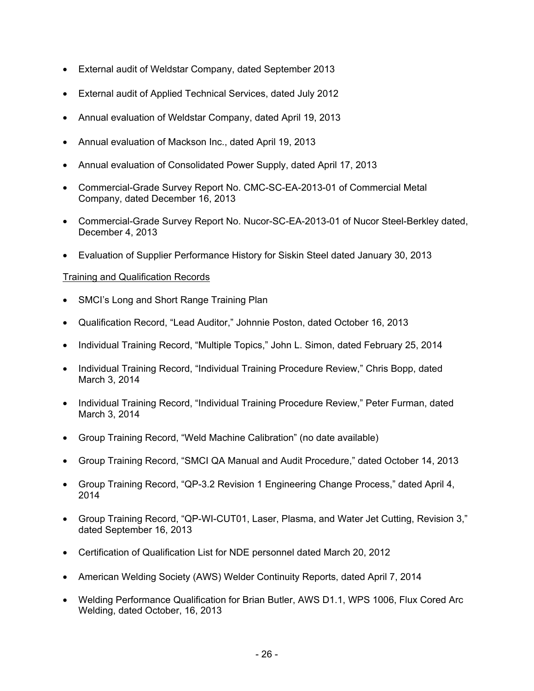- External audit of Weldstar Company, dated September 2013
- External audit of Applied Technical Services, dated July 2012
- Annual evaluation of Weldstar Company, dated April 19, 2013
- Annual evaluation of Mackson Inc., dated April 19, 2013
- Annual evaluation of Consolidated Power Supply, dated April 17, 2013
- Commercial-Grade Survey Report No. CMC-SC-EA-2013-01 of Commercial Metal Company, dated December 16, 2013
- Commercial-Grade Survey Report No. Nucor-SC-EA-2013-01 of Nucor Steel-Berkley dated, December 4, 2013
- Evaluation of Supplier Performance History for Siskin Steel dated January 30, 2013

# Training and Qualification Records

- SMCI's Long and Short Range Training Plan
- Qualification Record, "Lead Auditor," Johnnie Poston, dated October 16, 2013
- Individual Training Record, "Multiple Topics," John L. Simon, dated February 25, 2014
- Individual Training Record, "Individual Training Procedure Review," Chris Bopp, dated March 3, 2014
- Individual Training Record, "Individual Training Procedure Review," Peter Furman, dated March 3, 2014
- Group Training Record, "Weld Machine Calibration" (no date available)
- Group Training Record, "SMCI QA Manual and Audit Procedure," dated October 14, 2013
- Group Training Record, "QP-3.2 Revision 1 Engineering Change Process," dated April 4, 2014
- Group Training Record, "QP-WI-CUT01, Laser, Plasma, and Water Jet Cutting, Revision 3," dated September 16, 2013
- Certification of Qualification List for NDE personnel dated March 20, 2012
- American Welding Society (AWS) Welder Continuity Reports, dated April 7, 2014
- Welding Performance Qualification for Brian Butler, AWS D1.1, WPS 1006, Flux Cored Arc Welding, dated October, 16, 2013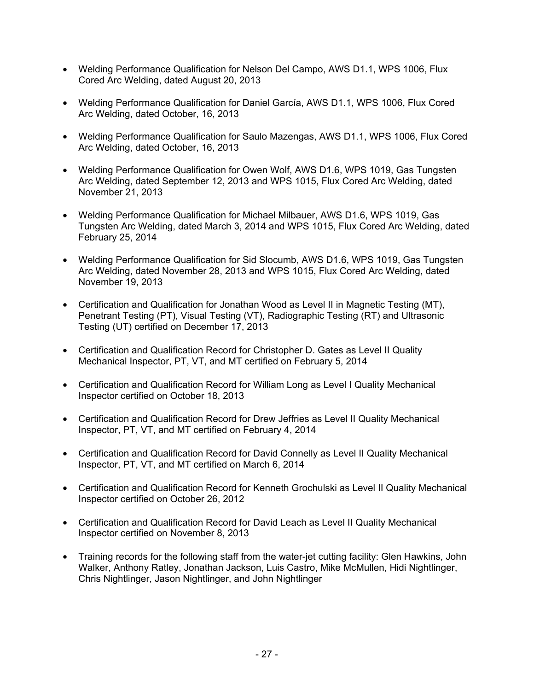- Welding Performance Qualification for Nelson Del Campo, AWS D1.1, WPS 1006, Flux Cored Arc Welding, dated August 20, 2013
- Welding Performance Qualification for Daniel García, AWS D1.1, WPS 1006, Flux Cored Arc Welding, dated October, 16, 2013
- Welding Performance Qualification for Saulo Mazengas, AWS D1.1, WPS 1006, Flux Cored Arc Welding, dated October, 16, 2013
- Welding Performance Qualification for Owen Wolf, AWS D1.6, WPS 1019, Gas Tungsten Arc Welding, dated September 12, 2013 and WPS 1015, Flux Cored Arc Welding, dated November 21, 2013
- Welding Performance Qualification for Michael Milbauer, AWS D1.6, WPS 1019, Gas Tungsten Arc Welding, dated March 3, 2014 and WPS 1015, Flux Cored Arc Welding, dated February 25, 2014
- Welding Performance Qualification for Sid Slocumb, AWS D1.6, WPS 1019, Gas Tungsten Arc Welding, dated November 28, 2013 and WPS 1015, Flux Cored Arc Welding, dated November 19, 2013
- Certification and Qualification for Jonathan Wood as Level II in Magnetic Testing (MT), Penetrant Testing (PT), Visual Testing (VT), Radiographic Testing (RT) and Ultrasonic Testing (UT) certified on December 17, 2013
- Certification and Qualification Record for Christopher D. Gates as Level II Quality Mechanical Inspector, PT, VT, and MT certified on February 5, 2014
- Certification and Qualification Record for William Long as Level I Quality Mechanical Inspector certified on October 18, 2013
- Certification and Qualification Record for Drew Jeffries as Level II Quality Mechanical Inspector, PT, VT, and MT certified on February 4, 2014
- Certification and Qualification Record for David Connelly as Level II Quality Mechanical Inspector, PT, VT, and MT certified on March 6, 2014
- Certification and Qualification Record for Kenneth Grochulski as Level II Quality Mechanical Inspector certified on October 26, 2012
- Certification and Qualification Record for David Leach as Level II Quality Mechanical Inspector certified on November 8, 2013
- Training records for the following staff from the water-jet cutting facility: Glen Hawkins, John Walker, Anthony Ratley, Jonathan Jackson, Luis Castro, Mike McMullen, Hidi Nightlinger, Chris Nightlinger, Jason Nightlinger, and John Nightlinger